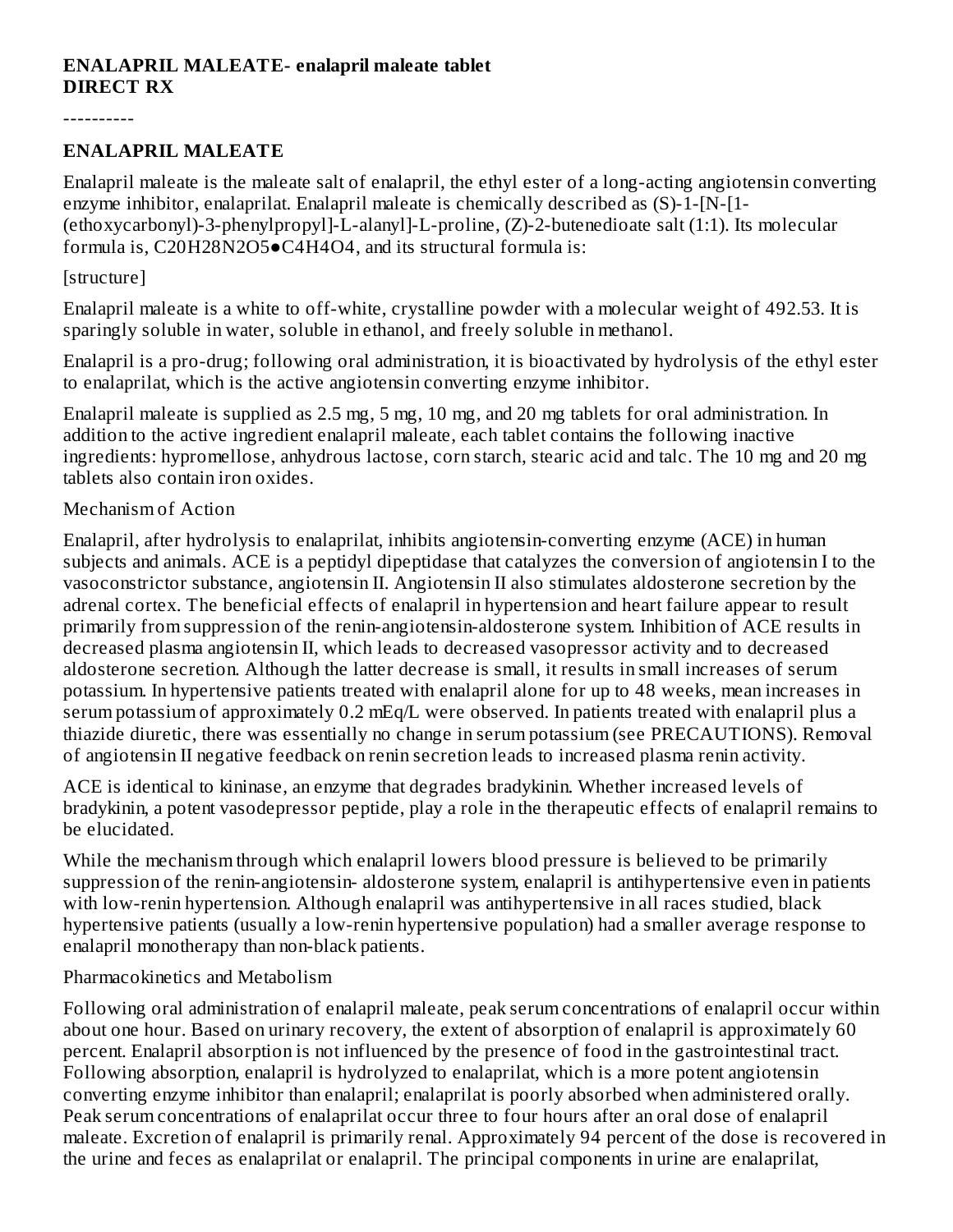#### **ENALAPRIL MALEATE- enalapril maleate tablet DIRECT RX**

----------

#### **ENALAPRIL MALEATE**

Enalapril maleate is the maleate salt of enalapril, the ethyl ester of a long-acting angiotensin converting enzyme inhibitor, enalaprilat. Enalapril maleate is chemically described as (S)-1-[N-[1- (ethoxycarbonyl)-3-phenylpropyl]-L-alanyl]-L-proline, (Z)-2-butenedioate salt (1:1). Its molecular formula is, C20H28N2O5●C4H4O4, and its structural formula is:

#### [structure]

Enalapril maleate is a white to off-white, crystalline powder with a molecular weight of 492.53. It is sparingly soluble in water, soluble in ethanol, and freely soluble in methanol.

Enalapril is a pro-drug; following oral administration, it is bioactivated by hydrolysis of the ethyl ester to enalaprilat, which is the active angiotensin converting enzyme inhibitor.

Enalapril maleate is supplied as 2.5 mg, 5 mg, 10 mg, and 20 mg tablets for oral administration. In addition to the active ingredient enalapril maleate, each tablet contains the following inactive ingredients: hypromellose, anhydrous lactose, corn starch, stearic acid and talc. The 10 mg and 20 mg tablets also contain iron oxides.

#### Mechanism of Action

Enalapril, after hydrolysis to enalaprilat, inhibits angiotensin-converting enzyme (ACE) in human subjects and animals. ACE is a peptidyl dipeptidase that catalyzes the conversion of angiotensin I to the vasoconstrictor substance, angiotensin II. Angiotensin II also stimulates aldosterone secretion by the adrenal cortex. The beneficial effects of enalapril in hypertension and heart failure appear to result primarily from suppression of the renin-angiotensin-aldosterone system. Inhibition of ACE results in decreased plasma angiotensin II, which leads to decreased vasopressor activity and to decreased aldosterone secretion. Although the latter decrease is small, it results in small increases of serum potassium. In hypertensive patients treated with enalapril alone for up to 48 weeks, mean increases in serum potassium of approximately 0.2 mEq/L were observed. In patients treated with enalapril plus a thiazide diuretic, there was essentially no change in serum potassium (see PRECAUTIONS). Removal of angiotensin II negative feedback on renin secretion leads to increased plasma renin activity.

ACE is identical to kininase, an enzyme that degrades bradykinin. Whether increased levels of bradykinin, a potent vasodepressor peptide, play a role in the therapeutic effects of enalapril remains to be elucidated.

While the mechanism through which enalapril lowers blood pressure is believed to be primarily suppression of the renin-angiotensin- aldosterone system, enalapril is antihypertensive even in patients with low-renin hypertension. Although enalapril was antihypertensive in all races studied, black hypertensive patients (usually a low-renin hypertensive population) had a smaller average response to enalapril monotherapy than non-black patients.

#### Pharmacokinetics and Metabolism

Following oral administration of enalapril maleate, peak serum concentrations of enalapril occur within about one hour. Based on urinary recovery, the extent of absorption of enalapril is approximately 60 percent. Enalapril absorption is not influenced by the presence of food in the gastrointestinal tract. Following absorption, enalapril is hydrolyzed to enalaprilat, which is a more potent angiotensin converting enzyme inhibitor than enalapril; enalaprilat is poorly absorbed when administered orally. Peak serum concentrations of enalaprilat occur three to four hours after an oral dose of enalapril maleate. Excretion of enalapril is primarily renal. Approximately 94 percent of the dose is recovered in the urine and feces as enalaprilat or enalapril. The principal components in urine are enalaprilat,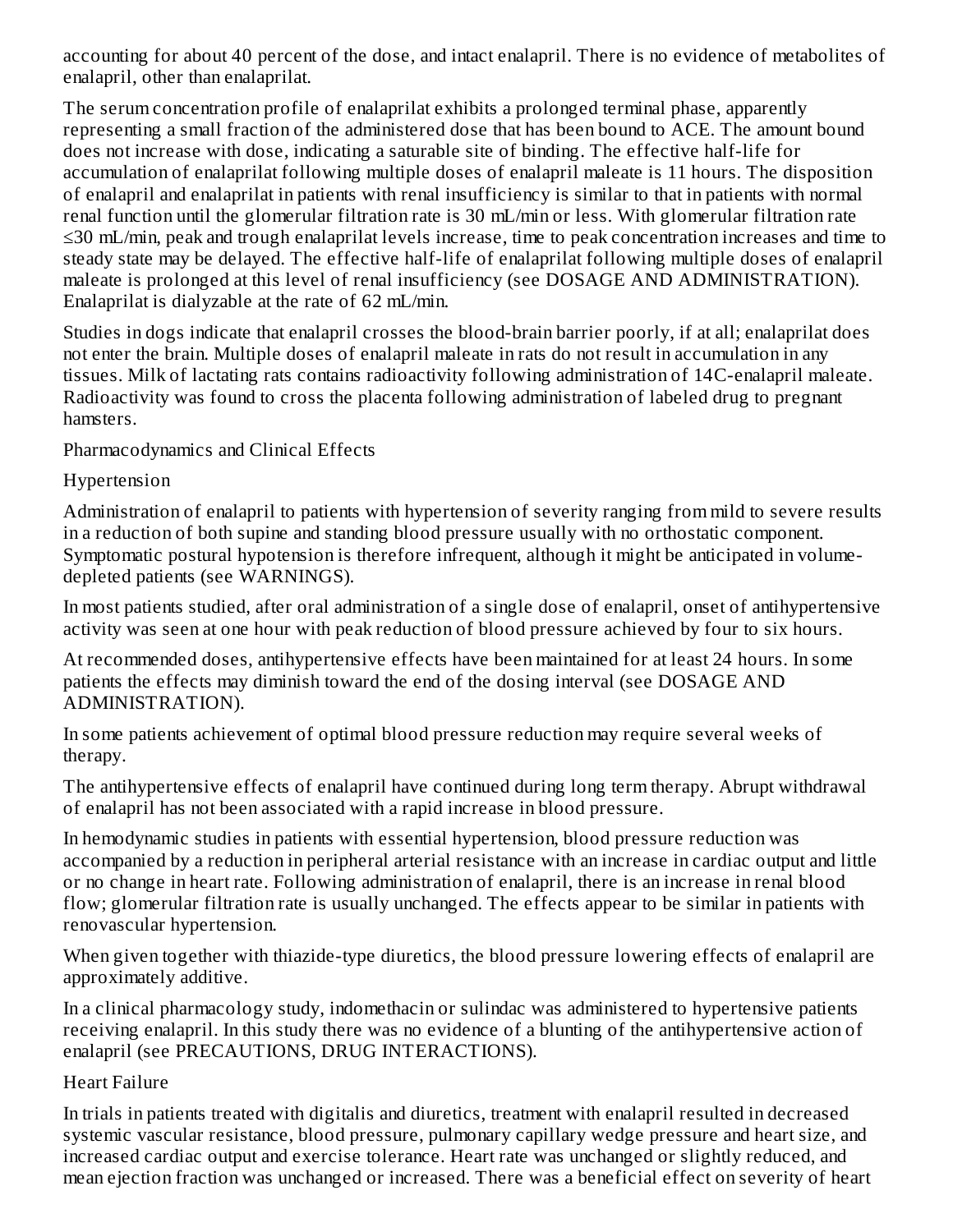accounting for about 40 percent of the dose, and intact enalapril. There is no evidence of metabolites of enalapril, other than enalaprilat.

The serum concentration profile of enalaprilat exhibits a prolonged terminal phase, apparently representing a small fraction of the administered dose that has been bound to ACE. The amount bound does not increase with dose, indicating a saturable site of binding. The effective half-life for accumulation of enalaprilat following multiple doses of enalapril maleate is 11 hours. The disposition of enalapril and enalaprilat in patients with renal insufficiency is similar to that in patients with normal renal function until the glomerular filtration rate is 30 mL/min or less. With glomerular filtration rate ≤30 mL/min, peak and trough enalaprilat levels increase, time to peak concentration increases and time to steady state may be delayed. The effective half-life of enalaprilat following multiple doses of enalapril maleate is prolonged at this level of renal insufficiency (see DOSAGE AND ADMINISTRATION). Enalaprilat is dialyzable at the rate of 62 mL/min.

Studies in dogs indicate that enalapril crosses the blood-brain barrier poorly, if at all; enalaprilat does not enter the brain. Multiple doses of enalapril maleate in rats do not result in accumulation in any tissues. Milk of lactating rats contains radioactivity following administration of 14C-enalapril maleate. Radioactivity was found to cross the placenta following administration of labeled drug to pregnant hamsters.

Pharmacodynamics and Clinical Effects

Hypertension

Administration of enalapril to patients with hypertension of severity ranging from mild to severe results in a reduction of both supine and standing blood pressure usually with no orthostatic component. Symptomatic postural hypotension is therefore infrequent, although it might be anticipated in volumedepleted patients (see WARNINGS).

In most patients studied, after oral administration of a single dose of enalapril, onset of antihypertensive activity was seen at one hour with peak reduction of blood pressure achieved by four to six hours.

At recommended doses, antihypertensive effects have been maintained for at least 24 hours. In some patients the effects may diminish toward the end of the dosing interval (see DOSAGE AND ADMINISTRATION).

In some patients achievement of optimal blood pressure reduction may require several weeks of therapy.

The antihypertensive effects of enalapril have continued during long term therapy. Abrupt withdrawal of enalapril has not been associated with a rapid increase in blood pressure.

In hemodynamic studies in patients with essential hypertension, blood pressure reduction was accompanied by a reduction in peripheral arterial resistance with an increase in cardiac output and little or no change in heart rate. Following administration of enalapril, there is an increase in renal blood flow; glomerular filtration rate is usually unchanged. The effects appear to be similar in patients with renovascular hypertension.

When given together with thiazide-type diuretics, the blood pressure lowering effects of enalapril are approximately additive.

In a clinical pharmacology study, indomethacin or sulindac was administered to hypertensive patients receiving enalapril. In this study there was no evidence of a blunting of the antihypertensive action of enalapril (see PRECAUTIONS, DRUG INTERACTIONS).

#### Heart Failure

In trials in patients treated with digitalis and diuretics, treatment with enalapril resulted in decreased systemic vascular resistance, blood pressure, pulmonary capillary wedge pressure and heart size, and increased cardiac output and exercise tolerance. Heart rate was unchanged or slightly reduced, and mean ejection fraction was unchanged or increased. There was a beneficial effect on severity of heart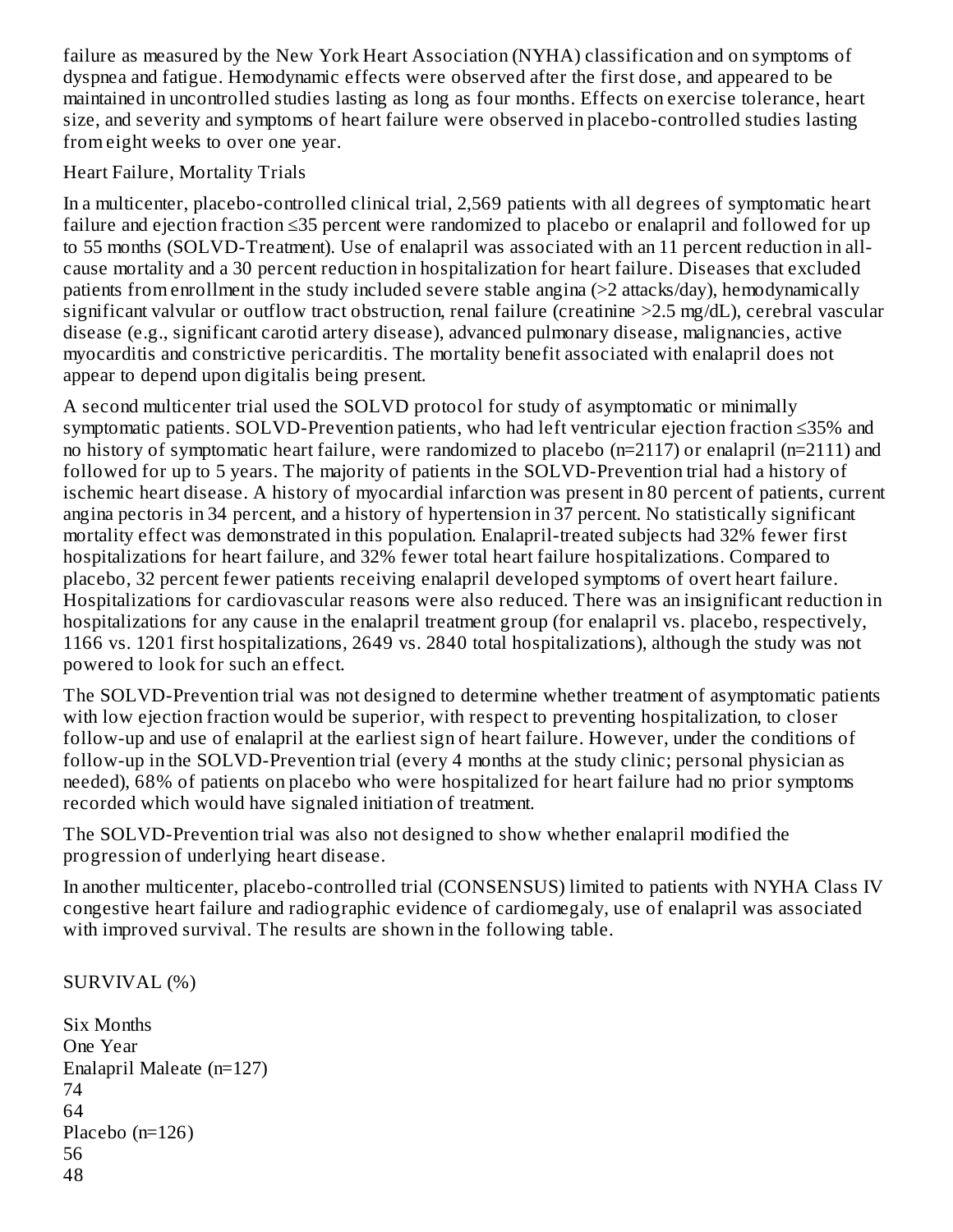failure as measured by the New York Heart Association (NYHA) classification and on symptoms of dyspnea and fatigue. Hemodynamic effects were observed after the first dose, and appeared to be maintained in uncontrolled studies lasting as long as four months. Effects on exercise tolerance, heart size, and severity and symptoms of heart failure were observed in placebo-controlled studies lasting from eight weeks to over one year.

#### Heart Failure, Mortality Trials

In a multicenter, placebo-controlled clinical trial, 2,569 patients with all degrees of symptomatic heart failure and ejection fraction ≤35 percent were randomized to placebo or enalapril and followed for up to 55 months (SOLVD-Treatment). Use of enalapril was associated with an 11 percent reduction in allcause mortality and a 30 percent reduction in hospitalization for heart failure. Diseases that excluded patients from enrollment in the study included severe stable angina (>2 attacks/day), hemodynamically significant valvular or outflow tract obstruction, renal failure (creatinine >2.5 mg/dL), cerebral vascular disease (e.g., significant carotid artery disease), advanced pulmonary disease, malignancies, active myocarditis and constrictive pericarditis. The mortality benefit associated with enalapril does not appear to depend upon digitalis being present.

A second multicenter trial used the SOLVD protocol for study of asymptomatic or minimally symptomatic patients. SOLVD-Prevention patients, who had left ventricular ejection fraction ≤35% and no history of symptomatic heart failure, were randomized to placebo (n=2117) or enalapril (n=2111) and followed for up to 5 years. The majority of patients in the SOLVD-Prevention trial had a history of ischemic heart disease. A history of myocardial infarction was present in 80 percent of patients, current angina pectoris in 34 percent, and a history of hypertension in 37 percent. No statistically significant mortality effect was demonstrated in this population. Enalapril-treated subjects had 32% fewer first hospitalizations for heart failure, and 32% fewer total heart failure hospitalizations. Compared to placebo, 32 percent fewer patients receiving enalapril developed symptoms of overt heart failure. Hospitalizations for cardiovascular reasons were also reduced. There was an insignificant reduction in hospitalizations for any cause in the enalapril treatment group (for enalapril vs. placebo, respectively, 1166 vs. 1201 first hospitalizations, 2649 vs. 2840 total hospitalizations), although the study was not powered to look for such an effect.

The SOLVD-Prevention trial was not designed to determine whether treatment of asymptomatic patients with low ejection fraction would be superior, with respect to preventing hospitalization, to closer follow-up and use of enalapril at the earliest sign of heart failure. However, under the conditions of follow-up in the SOLVD-Prevention trial (every 4 months at the study clinic; personal physician as needed), 68% of patients on placebo who were hospitalized for heart failure had no prior symptoms recorded which would have signaled initiation of treatment.

The SOLVD-Prevention trial was also not designed to show whether enalapril modified the progression of underlying heart disease.

In another multicenter, placebo-controlled trial (CONSENSUS) limited to patients with NYHA Class IV congestive heart failure and radiographic evidence of cardiomegaly, use of enalapril was associated with improved survival. The results are shown in the following table.

```
SURVIVAL (%)
```

```
Six Months
One Year
Enalapril Maleate (n=127)
74
64
Placebo (n=126)
56
48
```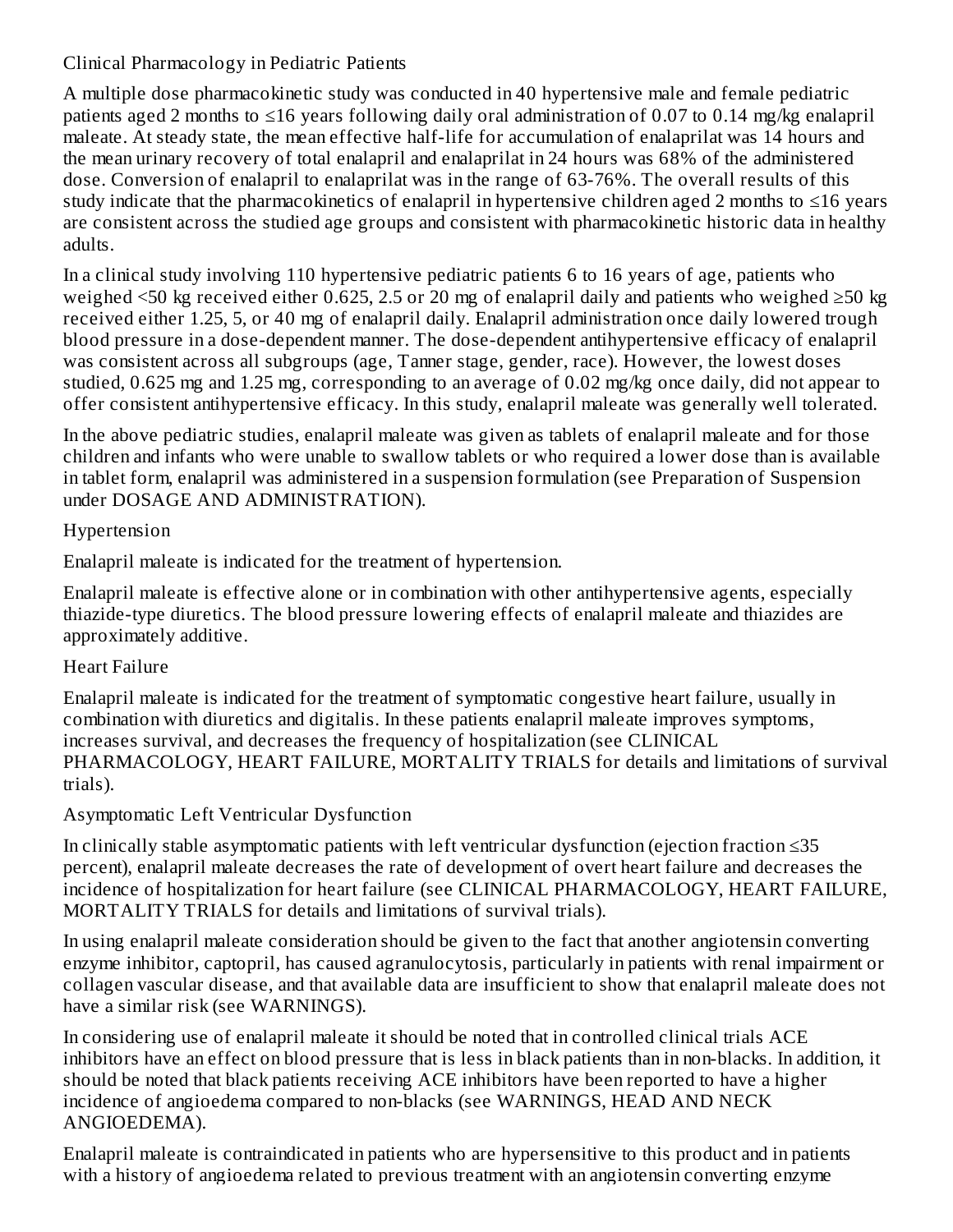#### Clinical Pharmacology in Pediatric Patients

A multiple dose pharmacokinetic study was conducted in 40 hypertensive male and female pediatric patients aged 2 months to ≤16 years following daily oral administration of 0.07 to 0.14 mg/kg enalapril maleate. At steady state, the mean effective half-life for accumulation of enalaprilat was 14 hours and the mean urinary recovery of total enalapril and enalaprilat in 24 hours was 68% of the administered dose. Conversion of enalapril to enalaprilat was in the range of 63-76%. The overall results of this study indicate that the pharmacokinetics of enalapril in hypertensive children aged 2 months to ≤16 years are consistent across the studied age groups and consistent with pharmacokinetic historic data in healthy adults.

In a clinical study involving 110 hypertensive pediatric patients 6 to 16 years of age, patients who weighed <50 kg received either 0.625, 2.5 or 20 mg of enalapril daily and patients who weighed ≥50 kg received either 1.25, 5, or 40 mg of enalapril daily. Enalapril administration once daily lowered trough blood pressure in a dose-dependent manner. The dose-dependent antihypertensive efficacy of enalapril was consistent across all subgroups (age, Tanner stage, gender, race). However, the lowest doses studied, 0.625 mg and 1.25 mg, corresponding to an average of 0.02 mg/kg once daily, did not appear to offer consistent antihypertensive efficacy. In this study, enalapril maleate was generally well tolerated.

In the above pediatric studies, enalapril maleate was given as tablets of enalapril maleate and for those children and infants who were unable to swallow tablets or who required a lower dose than is available in tablet form, enalapril was administered in a suspension formulation (see Preparation of Suspension under DOSAGE AND ADMINISTRATION).

## Hypertension

Enalapril maleate is indicated for the treatment of hypertension.

Enalapril maleate is effective alone or in combination with other antihypertensive agents, especially thiazide-type diuretics. The blood pressure lowering effects of enalapril maleate and thiazides are approximately additive.

## Heart Failure

Enalapril maleate is indicated for the treatment of symptomatic congestive heart failure, usually in combination with diuretics and digitalis. In these patients enalapril maleate improves symptoms, increases survival, and decreases the frequency of hospitalization (see CLINICAL PHARMACOLOGY, HEART FAILURE, MORTALITY TRIALS for details and limitations of survival trials).

## Asymptomatic Left Ventricular Dysfunction

In clinically stable asymptomatic patients with left ventricular dysfunction (ejection fraction ≤35 percent), enalapril maleate decreases the rate of development of overt heart failure and decreases the incidence of hospitalization for heart failure (see CLINICAL PHARMACOLOGY, HEART FAILURE, MORTALITY TRIALS for details and limitations of survival trials).

In using enalapril maleate consideration should be given to the fact that another angiotensin converting enzyme inhibitor, captopril, has caused agranulocytosis, particularly in patients with renal impairment or collagen vascular disease, and that available data are insufficient to show that enalapril maleate does not have a similar risk (see WARNINGS).

In considering use of enalapril maleate it should be noted that in controlled clinical trials ACE inhibitors have an effect on blood pressure that is less in black patients than in non-blacks. In addition, it should be noted that black patients receiving ACE inhibitors have been reported to have a higher incidence of angioedema compared to non-blacks (see WARNINGS, HEAD AND NECK ANGIOEDEMA).

Enalapril maleate is contraindicated in patients who are hypersensitive to this product and in patients with a history of angioedema related to previous treatment with an angiotensin converting enzyme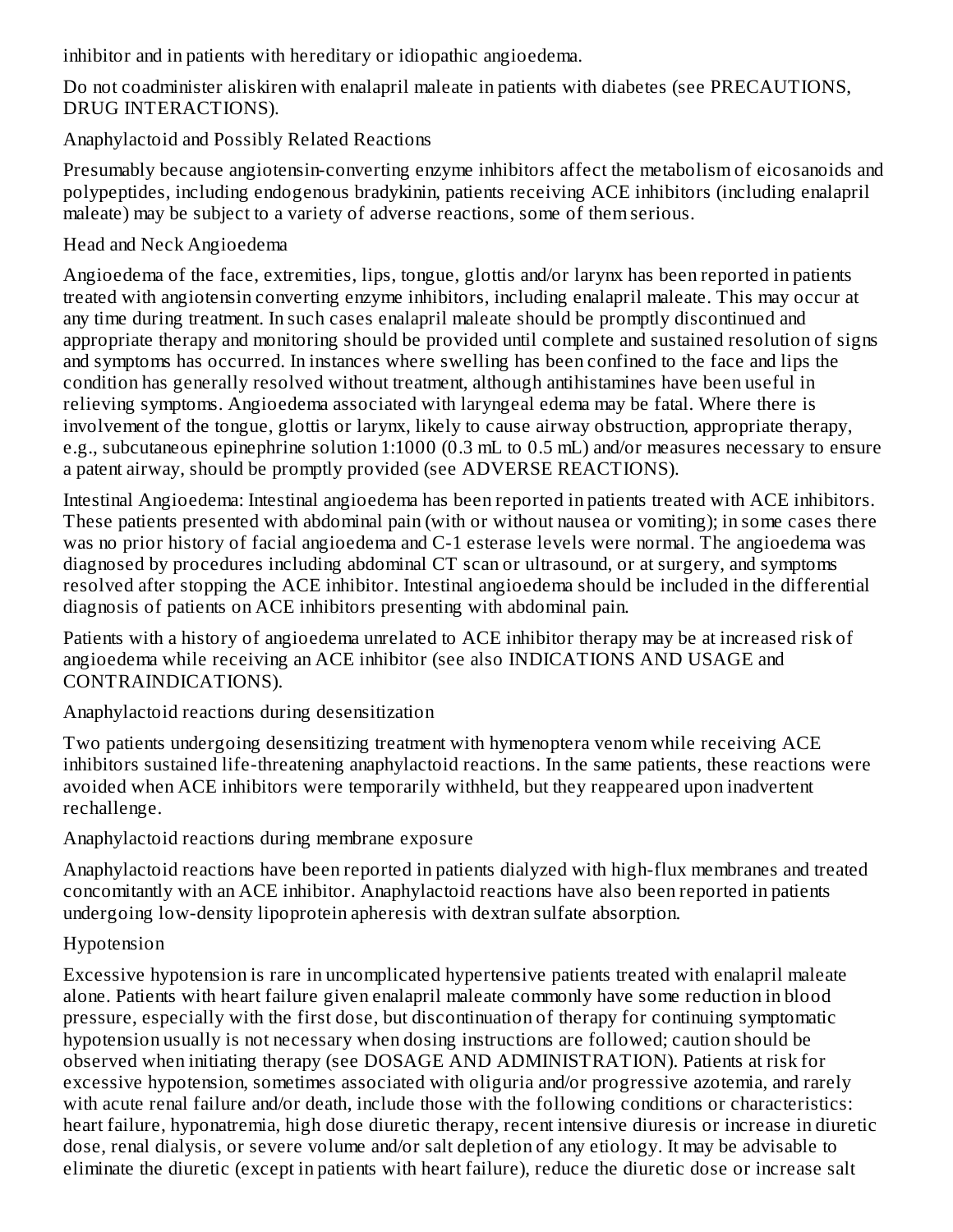inhibitor and in patients with hereditary or idiopathic angioedema.

Do not coadminister aliskiren with enalapril maleate in patients with diabetes (see PRECAUTIONS, DRUG INTERACTIONS).

Anaphylactoid and Possibly Related Reactions

Presumably because angiotensin-converting enzyme inhibitors affect the metabolism of eicosanoids and polypeptides, including endogenous bradykinin, patients receiving ACE inhibitors (including enalapril maleate) may be subject to a variety of adverse reactions, some of them serious.

## Head and Neck Angioedema

Angioedema of the face, extremities, lips, tongue, glottis and/or larynx has been reported in patients treated with angiotensin converting enzyme inhibitors, including enalapril maleate. This may occur at any time during treatment. In such cases enalapril maleate should be promptly discontinued and appropriate therapy and monitoring should be provided until complete and sustained resolution of signs and symptoms has occurred. In instances where swelling has been confined to the face and lips the condition has generally resolved without treatment, although antihistamines have been useful in relieving symptoms. Angioedema associated with laryngeal edema may be fatal. Where there is involvement of the tongue, glottis or larynx, likely to cause airway obstruction, appropriate therapy, e.g., subcutaneous epinephrine solution 1:1000 (0.3 mL to 0.5 mL) and/or measures necessary to ensure a patent airway, should be promptly provided (see ADVERSE REACTIONS).

Intestinal Angioedema: Intestinal angioedema has been reported in patients treated with ACE inhibitors. These patients presented with abdominal pain (with or without nausea or vomiting); in some cases there was no prior history of facial angioedema and C-1 esterase levels were normal. The angioedema was diagnosed by procedures including abdominal CT scan or ultrasound, or at surgery, and symptoms resolved after stopping the ACE inhibitor. Intestinal angioedema should be included in the differential diagnosis of patients on ACE inhibitors presenting with abdominal pain.

Patients with a history of angioedema unrelated to ACE inhibitor therapy may be at increased risk of angioedema while receiving an ACE inhibitor (see also INDICATIONS AND USAGE and CONTRAINDICATIONS).

Anaphylactoid reactions during desensitization

Two patients undergoing desensitizing treatment with hymenoptera venom while receiving ACE inhibitors sustained life-threatening anaphylactoid reactions. In the same patients, these reactions were avoided when ACE inhibitors were temporarily withheld, but they reappeared upon inadvertent rechallenge.

Anaphylactoid reactions during membrane exposure

Anaphylactoid reactions have been reported in patients dialyzed with high-flux membranes and treated concomitantly with an ACE inhibitor. Anaphylactoid reactions have also been reported in patients undergoing low-density lipoprotein apheresis with dextran sulfate absorption.

## Hypotension

Excessive hypotension is rare in uncomplicated hypertensive patients treated with enalapril maleate alone. Patients with heart failure given enalapril maleate commonly have some reduction in blood pressure, especially with the first dose, but discontinuation of therapy for continuing symptomatic hypotension usually is not necessary when dosing instructions are followed; caution should be observed when initiating therapy (see DOSAGE AND ADMINISTRATION). Patients at risk for excessive hypotension, sometimes associated with oliguria and/or progressive azotemia, and rarely with acute renal failure and/or death, include those with the following conditions or characteristics: heart failure, hyponatremia, high dose diuretic therapy, recent intensive diuresis or increase in diuretic dose, renal dialysis, or severe volume and/or salt depletion of any etiology. It may be advisable to eliminate the diuretic (except in patients with heart failure), reduce the diuretic dose or increase salt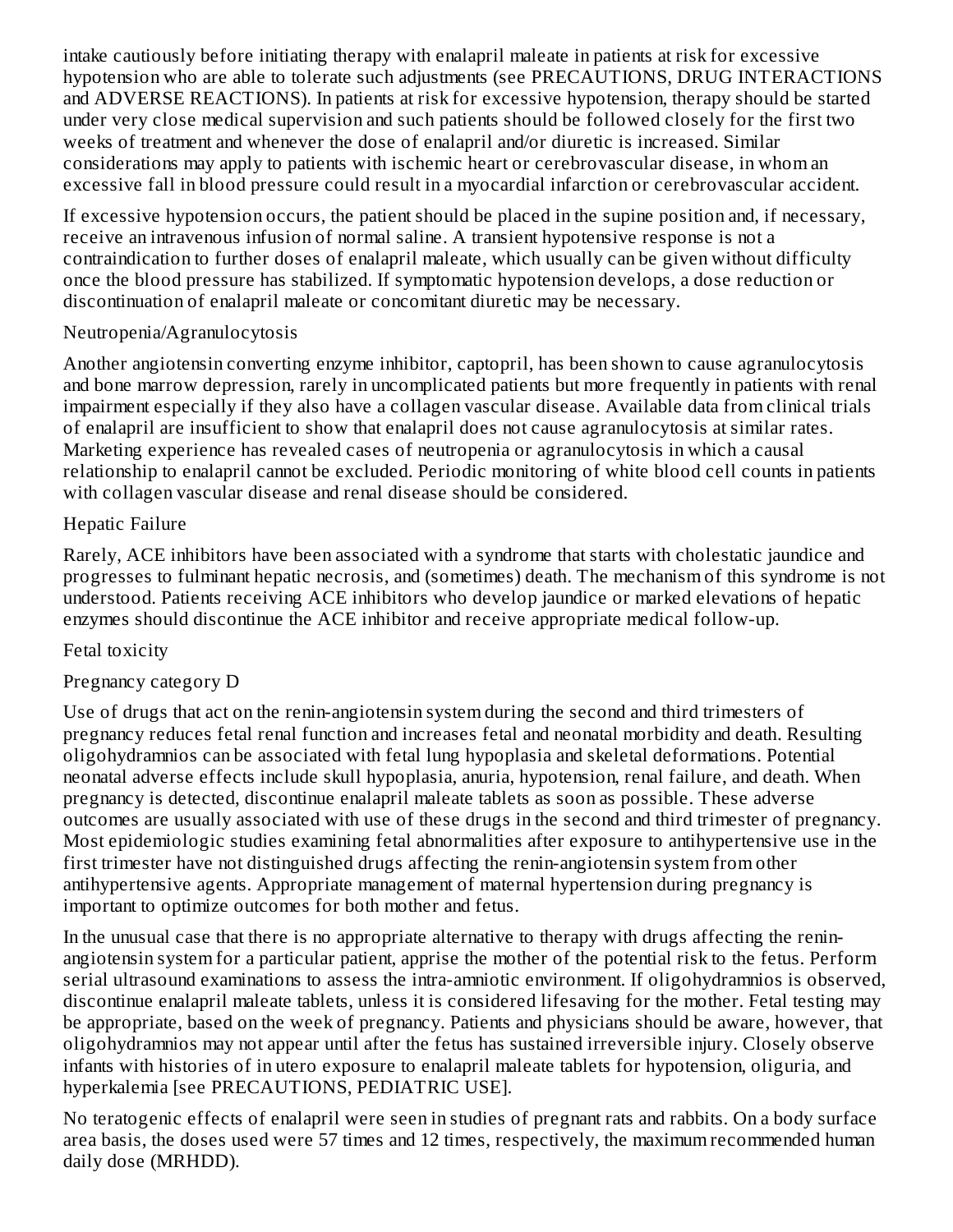intake cautiously before initiating therapy with enalapril maleate in patients at risk for excessive hypotension who are able to tolerate such adjustments (see PRECAUTIONS, DRUG INTERACTIONS and ADVERSE REACTIONS). In patients at risk for excessive hypotension, therapy should be started under very close medical supervision and such patients should be followed closely for the first two weeks of treatment and whenever the dose of enalapril and/or diuretic is increased. Similar considerations may apply to patients with ischemic heart or cerebrovascular disease, in whom an excessive fall in blood pressure could result in a myocardial infarction or cerebrovascular accident.

If excessive hypotension occurs, the patient should be placed in the supine position and, if necessary, receive an intravenous infusion of normal saline. A transient hypotensive response is not a contraindication to further doses of enalapril maleate, which usually can be given without difficulty once the blood pressure has stabilized. If symptomatic hypotension develops, a dose reduction or discontinuation of enalapril maleate or concomitant diuretic may be necessary.

#### Neutropenia/Agranulocytosis

Another angiotensin converting enzyme inhibitor, captopril, has been shown to cause agranulocytosis and bone marrow depression, rarely in uncomplicated patients but more frequently in patients with renal impairment especially if they also have a collagen vascular disease. Available data from clinical trials of enalapril are insufficient to show that enalapril does not cause agranulocytosis at similar rates. Marketing experience has revealed cases of neutropenia or agranulocytosis in which a causal relationship to enalapril cannot be excluded. Periodic monitoring of white blood cell counts in patients with collagen vascular disease and renal disease should be considered.

#### Hepatic Failure

Rarely, ACE inhibitors have been associated with a syndrome that starts with cholestatic jaundice and progresses to fulminant hepatic necrosis, and (sometimes) death. The mechanism of this syndrome is not understood. Patients receiving ACE inhibitors who develop jaundice or marked elevations of hepatic enzymes should discontinue the ACE inhibitor and receive appropriate medical follow-up.

## Fetal toxicity

## Pregnancy category D

Use of drugs that act on the renin-angiotensin system during the second and third trimesters of pregnancy reduces fetal renal function and increases fetal and neonatal morbidity and death. Resulting oligohydramnios can be associated with fetal lung hypoplasia and skeletal deformations. Potential neonatal adverse effects include skull hypoplasia, anuria, hypotension, renal failure, and death. When pregnancy is detected, discontinue enalapril maleate tablets as soon as possible. These adverse outcomes are usually associated with use of these drugs in the second and third trimester of pregnancy. Most epidemiologic studies examining fetal abnormalities after exposure to antihypertensive use in the first trimester have not distinguished drugs affecting the renin-angiotensin system from other antihypertensive agents. Appropriate management of maternal hypertension during pregnancy is important to optimize outcomes for both mother and fetus.

In the unusual case that there is no appropriate alternative to therapy with drugs affecting the reninangiotensin system for a particular patient, apprise the mother of the potential risk to the fetus. Perform serial ultrasound examinations to assess the intra-amniotic environment. If oligohydramnios is observed, discontinue enalapril maleate tablets, unless it is considered lifesaving for the mother. Fetal testing may be appropriate, based on the week of pregnancy. Patients and physicians should be aware, however, that oligohydramnios may not appear until after the fetus has sustained irreversible injury. Closely observe infants with histories of in utero exposure to enalapril maleate tablets for hypotension, oliguria, and hyperkalemia [see PRECAUTIONS, PEDIATRIC USE].

No teratogenic effects of enalapril were seen in studies of pregnant rats and rabbits. On a body surface area basis, the doses used were 57 times and 12 times, respectively, the maximum recommended human daily dose (MRHDD).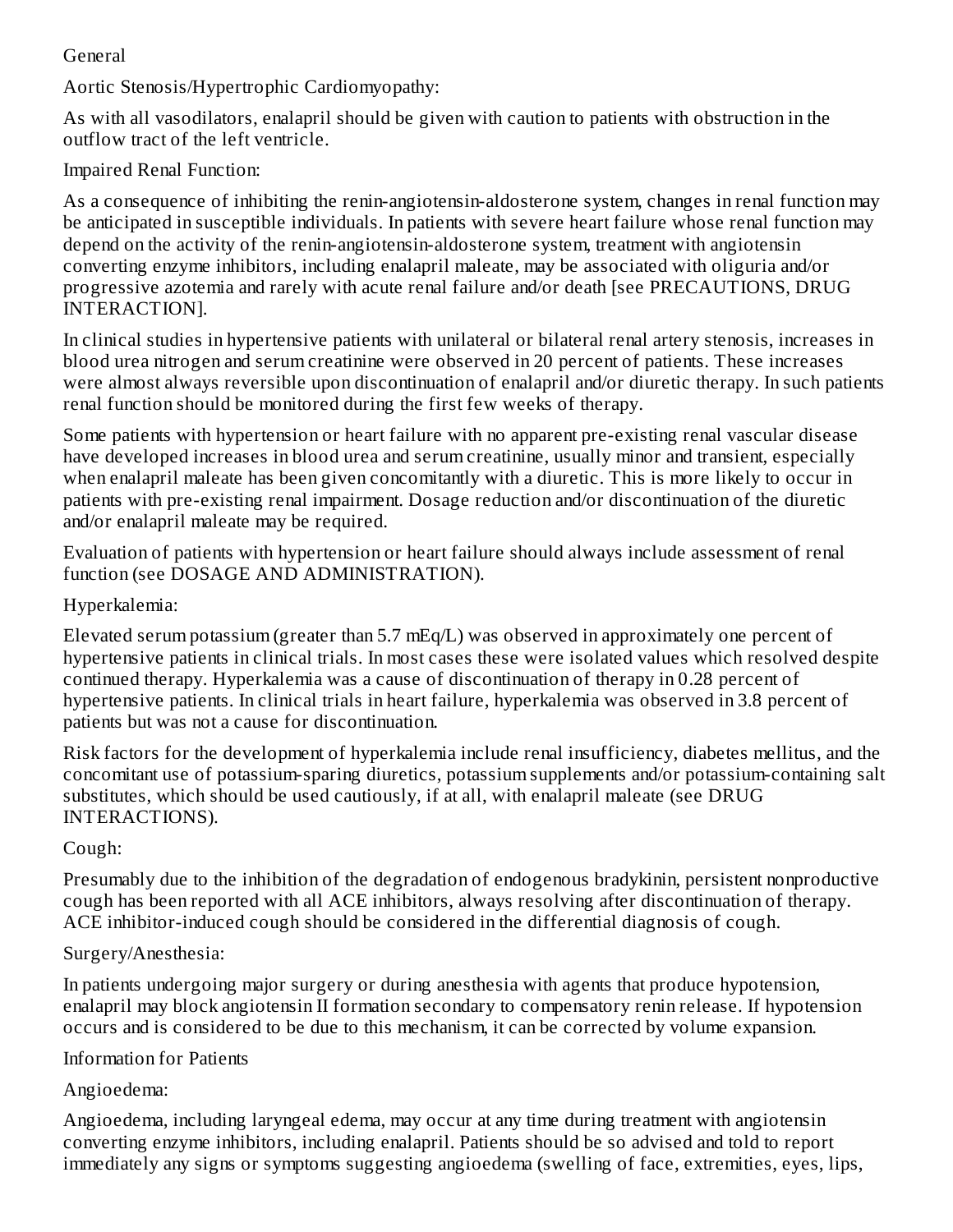## General

Aortic Stenosis/Hypertrophic Cardiomyopathy:

As with all vasodilators, enalapril should be given with caution to patients with obstruction in the outflow tract of the left ventricle.

## Impaired Renal Function:

As a consequence of inhibiting the renin-angiotensin-aldosterone system, changes in renal function may be anticipated in susceptible individuals. In patients with severe heart failure whose renal function may depend on the activity of the renin-angiotensin-aldosterone system, treatment with angiotensin converting enzyme inhibitors, including enalapril maleate, may be associated with oliguria and/or progressive azotemia and rarely with acute renal failure and/or death [see PRECAUTIONS, DRUG INTERACTION].

In clinical studies in hypertensive patients with unilateral or bilateral renal artery stenosis, increases in blood urea nitrogen and serum creatinine were observed in 20 percent of patients. These increases were almost always reversible upon discontinuation of enalapril and/or diuretic therapy. In such patients renal function should be monitored during the first few weeks of therapy.

Some patients with hypertension or heart failure with no apparent pre-existing renal vascular disease have developed increases in blood urea and serum creatinine, usually minor and transient, especially when enalapril maleate has been given concomitantly with a diuretic. This is more likely to occur in patients with pre-existing renal impairment. Dosage reduction and/or discontinuation of the diuretic and/or enalapril maleate may be required.

Evaluation of patients with hypertension or heart failure should always include assessment of renal function (see DOSAGE AND ADMINISTRATION).

Hyperkalemia:

Elevated serum potassium (greater than 5.7 mEq/L) was observed in approximately one percent of hypertensive patients in clinical trials. In most cases these were isolated values which resolved despite continued therapy. Hyperkalemia was a cause of discontinuation of therapy in 0.28 percent of hypertensive patients. In clinical trials in heart failure, hyperkalemia was observed in 3.8 percent of patients but was not a cause for discontinuation.

Risk factors for the development of hyperkalemia include renal insufficiency, diabetes mellitus, and the concomitant use of potassium-sparing diuretics, potassium supplements and/or potassium-containing salt substitutes, which should be used cautiously, if at all, with enalapril maleate (see DRUG INTERACTIONS).

Cough:

Presumably due to the inhibition of the degradation of endogenous bradykinin, persistent nonproductive cough has been reported with all ACE inhibitors, always resolving after discontinuation of therapy. ACE inhibitor-induced cough should be considered in the differential diagnosis of cough.

## Surgery/Anesthesia:

In patients undergoing major surgery or during anesthesia with agents that produce hypotension, enalapril may block angiotensin II formation secondary to compensatory renin release. If hypotension occurs and is considered to be due to this mechanism, it can be corrected by volume expansion.

## Information for Patients

## Angioedema:

Angioedema, including laryngeal edema, may occur at any time during treatment with angiotensin converting enzyme inhibitors, including enalapril. Patients should be so advised and told to report immediately any signs or symptoms suggesting angioedema (swelling of face, extremities, eyes, lips,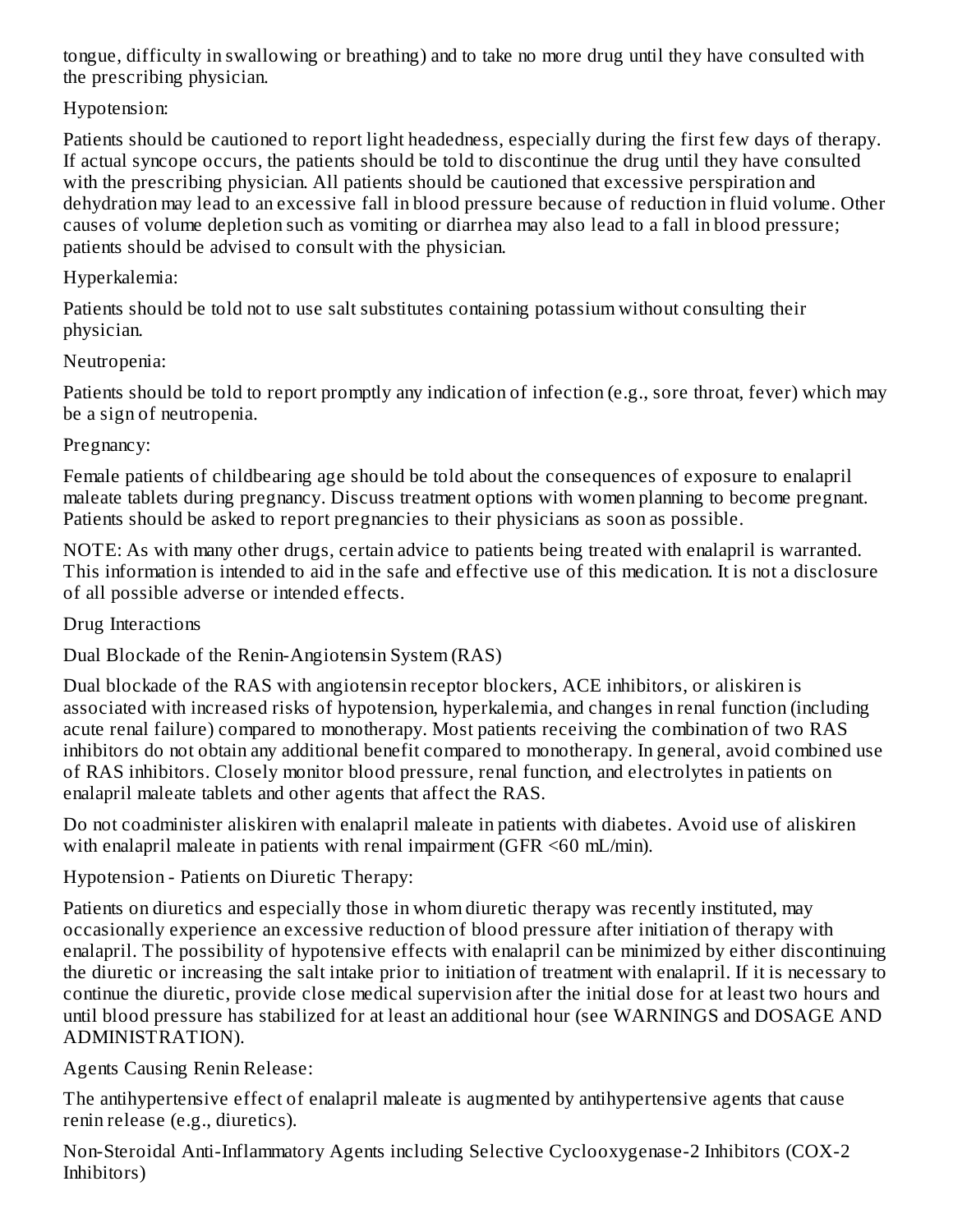tongue, difficulty in swallowing or breathing) and to take no more drug until they have consulted with the prescribing physician.

Hypotension:

Patients should be cautioned to report light headedness, especially during the first few days of therapy. If actual syncope occurs, the patients should be told to discontinue the drug until they have consulted with the prescribing physician. All patients should be cautioned that excessive perspiration and dehydration may lead to an excessive fall in blood pressure because of reduction in fluid volume. Other causes of volume depletion such as vomiting or diarrhea may also lead to a fall in blood pressure; patients should be advised to consult with the physician.

#### Hyperkalemia:

Patients should be told not to use salt substitutes containing potassium without consulting their physician.

#### Neutropenia:

Patients should be told to report promptly any indication of infection (e.g., sore throat, fever) which may be a sign of neutropenia.

#### Pregnancy:

Female patients of childbearing age should be told about the consequences of exposure to enalapril maleate tablets during pregnancy. Discuss treatment options with women planning to become pregnant. Patients should be asked to report pregnancies to their physicians as soon as possible.

NOTE: As with many other drugs, certain advice to patients being treated with enalapril is warranted. This information is intended to aid in the safe and effective use of this medication. It is not a disclosure of all possible adverse or intended effects.

Drug Interactions

Dual Blockade of the Renin-Angiotensin System (RAS)

Dual blockade of the RAS with angiotensin receptor blockers, ACE inhibitors, or aliskiren is associated with increased risks of hypotension, hyperkalemia, and changes in renal function (including acute renal failure) compared to monotherapy. Most patients receiving the combination of two RAS inhibitors do not obtain any additional benefit compared to monotherapy. In general, avoid combined use of RAS inhibitors. Closely monitor blood pressure, renal function, and electrolytes in patients on enalapril maleate tablets and other agents that affect the RAS.

Do not coadminister aliskiren with enalapril maleate in patients with diabetes. Avoid use of aliskiren with enalapril maleate in patients with renal impairment (GFR <60 mL/min).

Hypotension - Patients on Diuretic Therapy:

Patients on diuretics and especially those in whom diuretic therapy was recently instituted, may occasionally experience an excessive reduction of blood pressure after initiation of therapy with enalapril. The possibility of hypotensive effects with enalapril can be minimized by either discontinuing the diuretic or increasing the salt intake prior to initiation of treatment with enalapril. If it is necessary to continue the diuretic, provide close medical supervision after the initial dose for at least two hours and until blood pressure has stabilized for at least an additional hour (see WARNINGS and DOSAGE AND ADMINISTRATION).

Agents Causing Renin Release:

The antihypertensive effect of enalapril maleate is augmented by antihypertensive agents that cause renin release (e.g., diuretics).

Non-Steroidal Anti-Inflammatory Agents including Selective Cyclooxygenase-2 Inhibitors (COX-2 Inhibitors)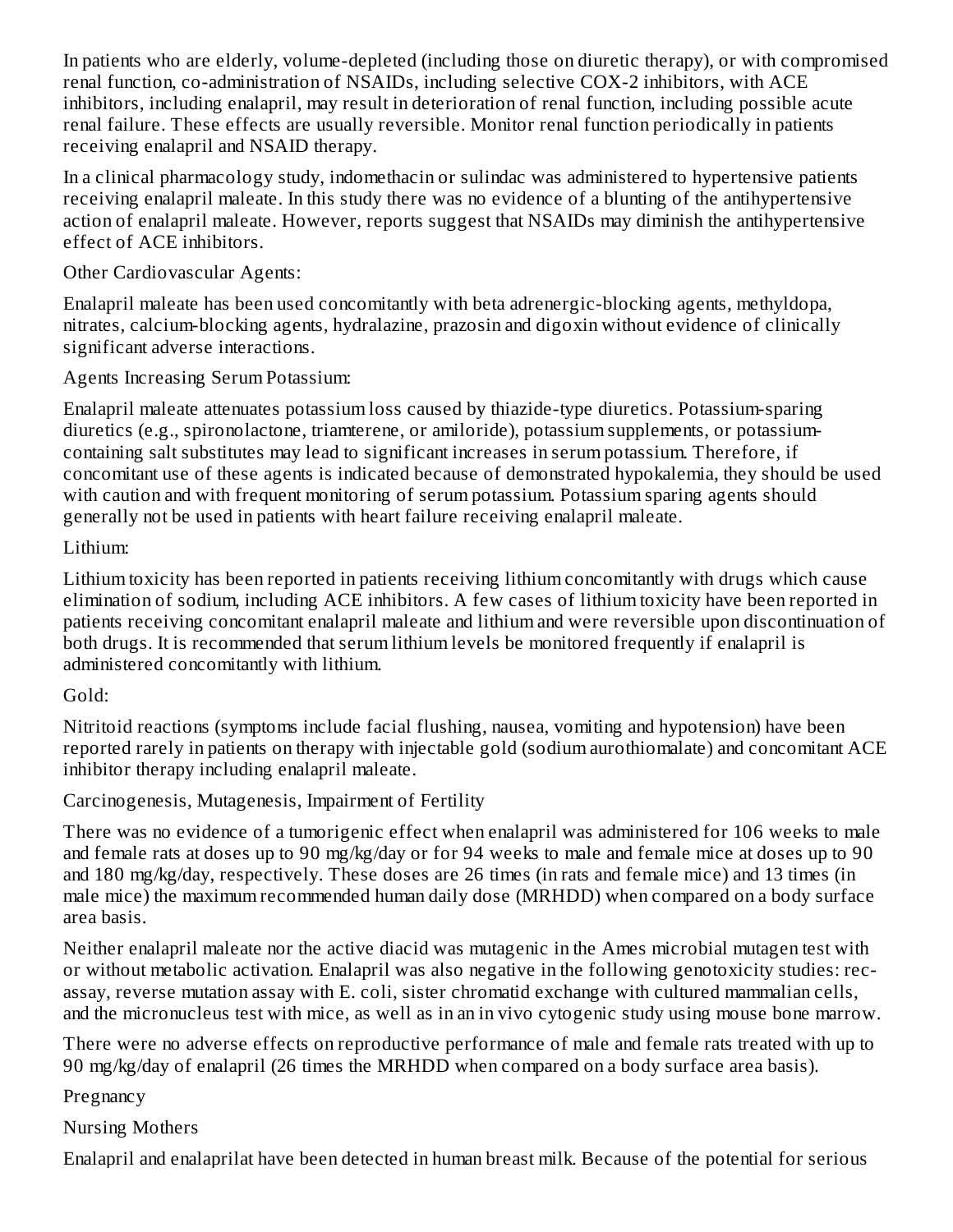In patients who are elderly, volume-depleted (including those on diuretic therapy), or with compromised renal function, co-administration of NSAIDs, including selective COX-2 inhibitors, with ACE inhibitors, including enalapril, may result in deterioration of renal function, including possible acute renal failure. These effects are usually reversible. Monitor renal function periodically in patients receiving enalapril and NSAID therapy.

In a clinical pharmacology study, indomethacin or sulindac was administered to hypertensive patients receiving enalapril maleate. In this study there was no evidence of a blunting of the antihypertensive action of enalapril maleate. However, reports suggest that NSAIDs may diminish the antihypertensive effect of ACE inhibitors.

Other Cardiovascular Agents:

Enalapril maleate has been used concomitantly with beta adrenergic-blocking agents, methyldopa, nitrates, calcium-blocking agents, hydralazine, prazosin and digoxin without evidence of clinically significant adverse interactions.

Agents Increasing Serum Potassium:

Enalapril maleate attenuates potassium loss caused by thiazide-type diuretics. Potassium-sparing diuretics (e.g., spironolactone, triamterene, or amiloride), potassium supplements, or potassiumcontaining salt substitutes may lead to significant increases in serum potassium. Therefore, if concomitant use of these agents is indicated because of demonstrated hypokalemia, they should be used with caution and with frequent monitoring of serum potassium. Potassium sparing agents should generally not be used in patients with heart failure receiving enalapril maleate.

## Lithium:

Lithium toxicity has been reported in patients receiving lithium concomitantly with drugs which cause elimination of sodium, including ACE inhibitors. A few cases of lithium toxicity have been reported in patients receiving concomitant enalapril maleate and lithium and were reversible upon discontinuation of both drugs. It is recommended that serum lithium levels be monitored frequently if enalapril is administered concomitantly with lithium.

## Gold:

Nitritoid reactions (symptoms include facial flushing, nausea, vomiting and hypotension) have been reported rarely in patients on therapy with injectable gold (sodium aurothiomalate) and concomitant ACE inhibitor therapy including enalapril maleate.

Carcinogenesis, Mutagenesis, Impairment of Fertility

There was no evidence of a tumorigenic effect when enalapril was administered for 106 weeks to male and female rats at doses up to 90 mg/kg/day or for 94 weeks to male and female mice at doses up to 90 and 180 mg/kg/day, respectively. These doses are 26 times (in rats and female mice) and 13 times (in male mice) the maximum recommended human daily dose (MRHDD) when compared on a body surface area basis.

Neither enalapril maleate nor the active diacid was mutagenic in the Ames microbial mutagen test with or without metabolic activation. Enalapril was also negative in the following genotoxicity studies: recassay, reverse mutation assay with E. coli, sister chromatid exchange with cultured mammalian cells, and the micronucleus test with mice, as well as in an in vivo cytogenic study using mouse bone marrow.

There were no adverse effects on reproductive performance of male and female rats treated with up to 90 mg/kg/day of enalapril (26 times the MRHDD when compared on a body surface area basis).

Pregnancy

## Nursing Mothers

Enalapril and enalaprilat have been detected in human breast milk. Because of the potential for serious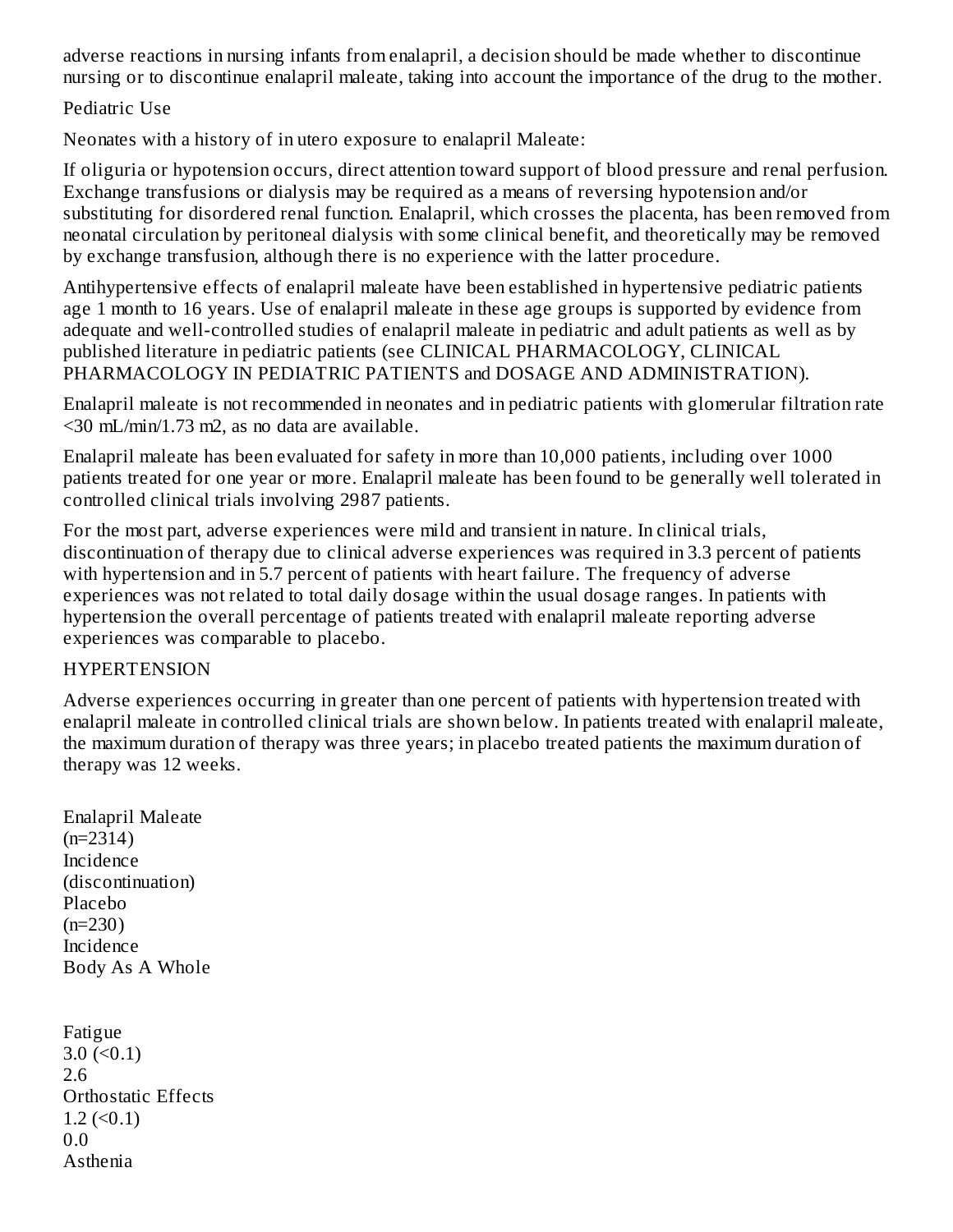adverse reactions in nursing infants from enalapril, a decision should be made whether to discontinue nursing or to discontinue enalapril maleate, taking into account the importance of the drug to the mother.

#### Pediatric Use

Neonates with a history of in utero exposure to enalapril Maleate:

If oliguria or hypotension occurs, direct attention toward support of blood pressure and renal perfusion. Exchange transfusions or dialysis may be required as a means of reversing hypotension and/or substituting for disordered renal function. Enalapril, which crosses the placenta, has been removed from neonatal circulation by peritoneal dialysis with some clinical benefit, and theoretically may be removed by exchange transfusion, although there is no experience with the latter procedure.

Antihypertensive effects of enalapril maleate have been established in hypertensive pediatric patients age 1 month to 16 years. Use of enalapril maleate in these age groups is supported by evidence from adequate and well-controlled studies of enalapril maleate in pediatric and adult patients as well as by published literature in pediatric patients (see CLINICAL PHARMACOLOGY, CLINICAL PHARMACOLOGY IN PEDIATRIC PATIENTS and DOSAGE AND ADMINISTRATION).

Enalapril maleate is not recommended in neonates and in pediatric patients with glomerular filtration rate <30 mL/min/1.73 m2, as no data are available.

Enalapril maleate has been evaluated for safety in more than 10,000 patients, including over 1000 patients treated for one year or more. Enalapril maleate has been found to be generally well tolerated in controlled clinical trials involving 2987 patients.

For the most part, adverse experiences were mild and transient in nature. In clinical trials, discontinuation of therapy due to clinical adverse experiences was required in 3.3 percent of patients with hypertension and in 5.7 percent of patients with heart failure. The frequency of adverse experiences was not related to total daily dosage within the usual dosage ranges. In patients with hypertension the overall percentage of patients treated with enalapril maleate reporting adverse experiences was comparable to placebo.

#### HYPERTENSION

Adverse experiences occurring in greater than one percent of patients with hypertension treated with enalapril maleate in controlled clinical trials are shown below. In patients treated with enalapril maleate, the maximum duration of therapy was three years; in placebo treated patients the maximum duration of therapy was 12 weeks.

Enalapril Maleate  $(n=2314)$ Incidence (discontinuation) Placebo  $(n=230)$ Incidence Body As A Whole

Fatigue  $3.0 \leq 0.1$ 2.6 Orthostatic Effects  $1.2$  (<0.1) 0.0 Asthenia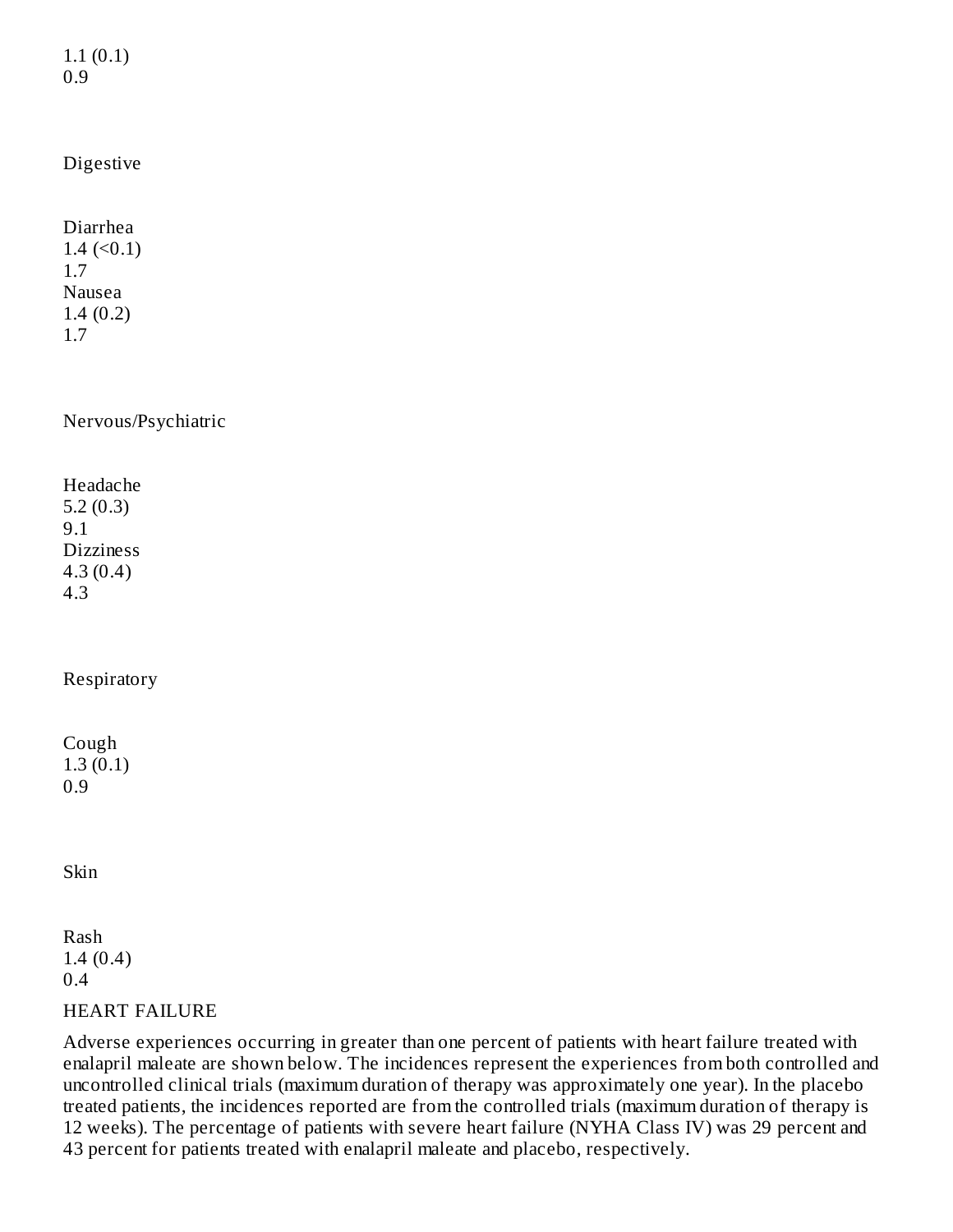1.1 (0.1) 0.9

Digestive

Diarrhea  $1.4$  ( $\leq 0.1$ ) 1.7 Nausea 1.4 (0.2) 1.7

Nervous/Psychiatric

Headache 5.2 (0.3) 9.1 **Dizziness** 4.3 (0.4) 4.3

Respiratory

Cough 1.3 (0.1) 0.9

Skin

Rash 1.4 (0.4) 0.4

#### HEART FAILURE

Adverse experiences occurring in greater than one percent of patients with heart failure treated with enalapril maleate are shown below. The incidences represent the experiences from both controlled and uncontrolled clinical trials (maximum duration of therapy was approximately one year). In the placebo treated patients, the incidences reported are from the controlled trials (maximum duration of therapy is 12 weeks). The percentage of patients with severe heart failure (NYHA Class IV) was 29 percent and 43 percent for patients treated with enalapril maleate and placebo, respectively.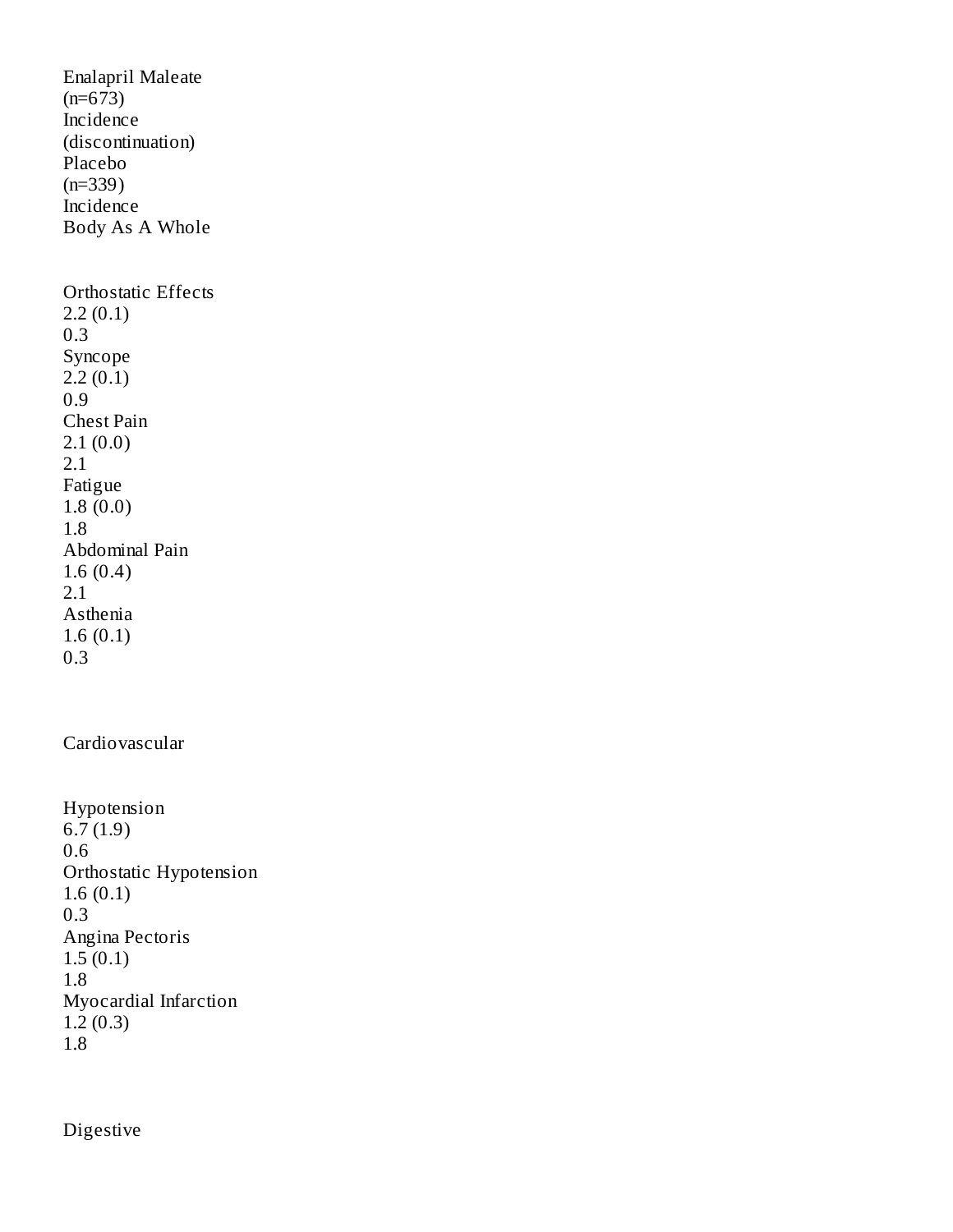Enalapril Maleate  $(n=673)$ Incidence (discontinuation) Placebo  $(n=339)$ Incidence Body As A Whole Orthostatic Effects 2.2 (0.1) 0.3 Syncope 2.2 (0.1) 0.9 Chest Pain 2.1 (0.0) 2.1 Fatigue  $1.8(0.0)$ 1.8 Abdominal Pain 1.6 (0.4) 2.1 Asthenia 1.6 (0.1) 0.3 Cardiovascular Hypotension  $6.7(1.9)$ 0.6 Orthostatic Hypotension 1.6 (0.1) 0.3 Angina Pectoris

1.5 (0.1) 1.8 Myocardial Infarction 1.2 (0.3) 1.8

Digestive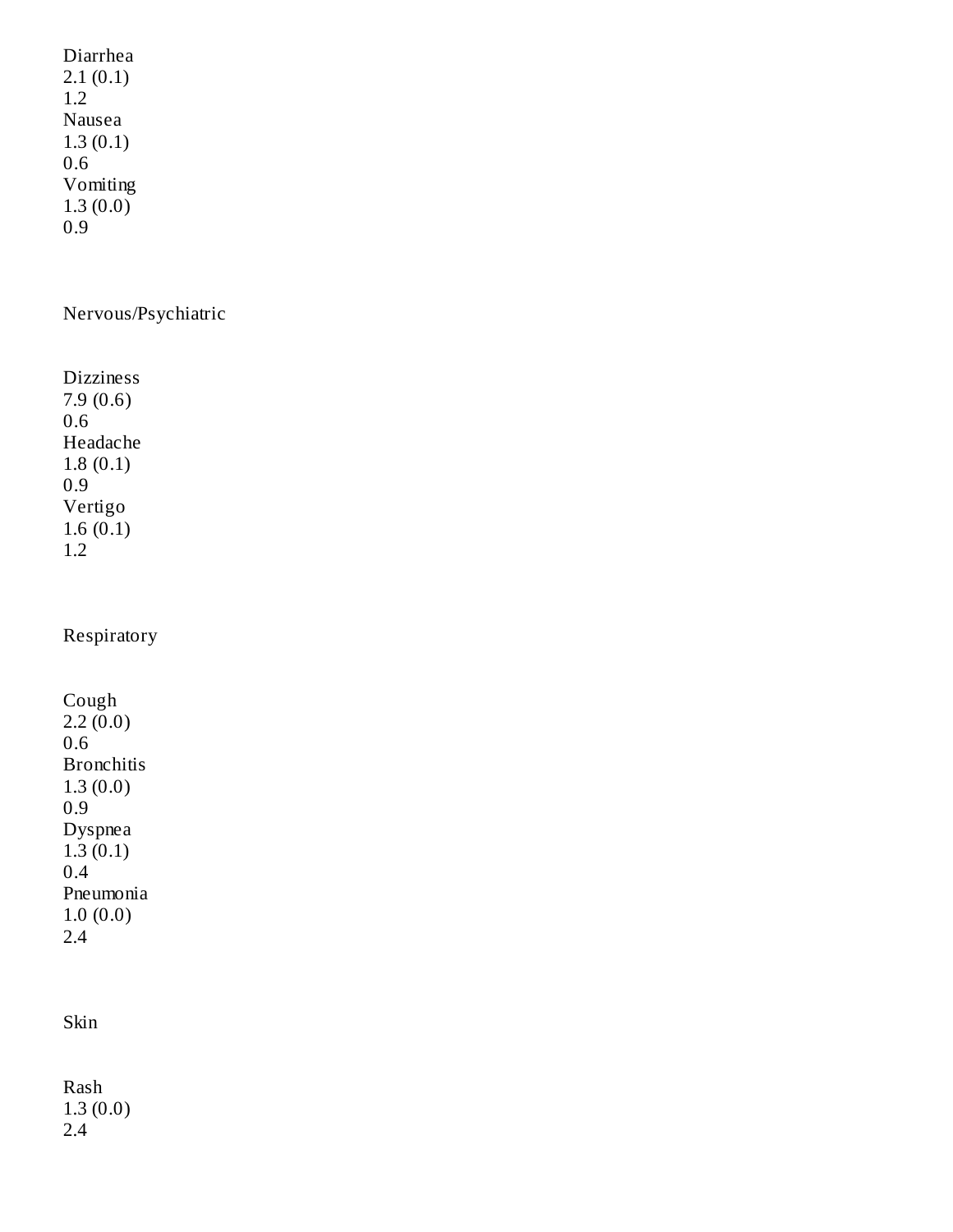Diarrhea 2.1 (0.1) 1.2 Nausea 1.3 (0.1) 0.6 Vomiting  $1.3(0.0)$ 0.9 Nervous/Psychiatric Dizziness 7.9 (0.6) 0.6 Headache 1.8 (0.1) 0.9 Vertigo 1.6 (0.1) 1.2 Respiratory Cough  $2.2(0.0)$ 0.6 Bronchitis 1.3 (0.0) 0.9 Dyspnea  $1.\overline{3} (0.1)$ 0.4 Pneumonia 1.0 (0.0) 2.4 Skin Rash 1.3 (0.0)

2.4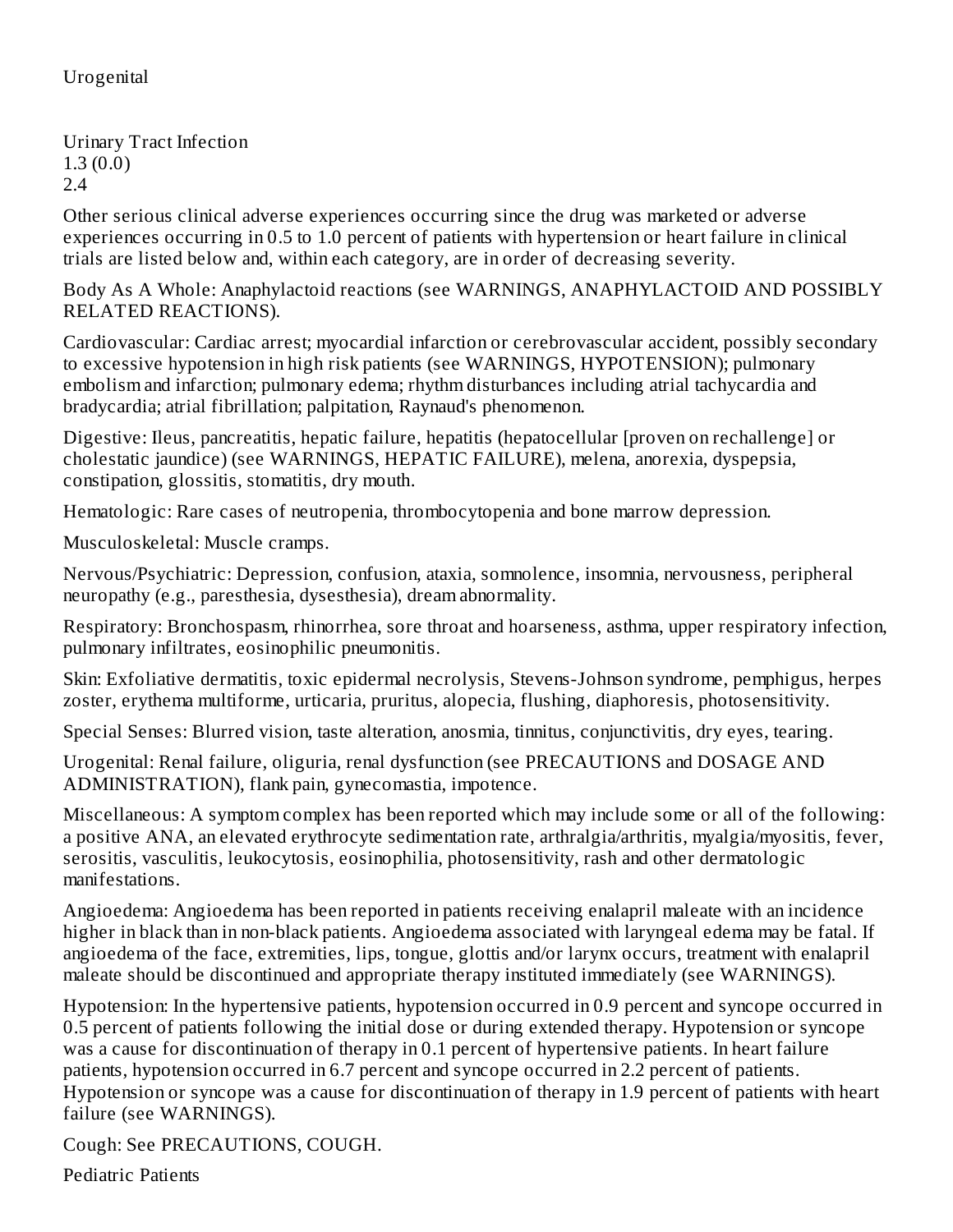## Urogenital

Urinary Tract Infection 1.3 (0.0) 2.4

Other serious clinical adverse experiences occurring since the drug was marketed or adverse experiences occurring in 0.5 to 1.0 percent of patients with hypertension or heart failure in clinical trials are listed below and, within each category, are in order of decreasing severity.

Body As A Whole: Anaphylactoid reactions (see WARNINGS, ANAPHYLACTOID AND POSSIBLY RELATED REACTIONS).

Cardiovascular: Cardiac arrest; myocardial infarction or cerebrovascular accident, possibly secondary to excessive hypotension in high risk patients (see WARNINGS, HYPOTENSION); pulmonary embolism and infarction; pulmonary edema; rhythm disturbances including atrial tachycardia and bradycardia; atrial fibrillation; palpitation, Raynaud's phenomenon.

Digestive: Ileus, pancreatitis, hepatic failure, hepatitis (hepatocellular [proven on rechallenge] or cholestatic jaundice) (see WARNINGS, HEPATIC FAILURE), melena, anorexia, dyspepsia, constipation, glossitis, stomatitis, dry mouth.

Hematologic: Rare cases of neutropenia, thrombocytopenia and bone marrow depression.

Musculoskeletal: Muscle cramps.

Nervous/Psychiatric: Depression, confusion, ataxia, somnolence, insomnia, nervousness, peripheral neuropathy (e.g., paresthesia, dysesthesia), dream abnormality.

Respiratory: Bronchospasm, rhinorrhea, sore throat and hoarseness, asthma, upper respiratory infection, pulmonary infiltrates, eosinophilic pneumonitis.

Skin: Exfoliative dermatitis, toxic epidermal necrolysis, Stevens-Johnson syndrome, pemphigus, herpes zoster, erythema multiforme, urticaria, pruritus, alopecia, flushing, diaphoresis, photosensitivity.

Special Senses: Blurred vision, taste alteration, anosmia, tinnitus, conjunctivitis, dry eyes, tearing.

Urogenital: Renal failure, oliguria, renal dysfunction (see PRECAUTIONS and DOSAGE AND ADMINISTRATION), flank pain, gynecomastia, impotence.

Miscellaneous: A symptom complex has been reported which may include some or all of the following: a positive ANA, an elevated erythrocyte sedimentation rate, arthralgia/arthritis, myalgia/myositis, fever, serositis, vasculitis, leukocytosis, eosinophilia, photosensitivity, rash and other dermatologic manifestations.

Angioedema: Angioedema has been reported in patients receiving enalapril maleate with an incidence higher in black than in non-black patients. Angioedema associated with laryngeal edema may be fatal. If angioedema of the face, extremities, lips, tongue, glottis and/or larynx occurs, treatment with enalapril maleate should be discontinued and appropriate therapy instituted immediately (see WARNINGS).

Hypotension: In the hypertensive patients, hypotension occurred in 0.9 percent and syncope occurred in 0.5 percent of patients following the initial dose or during extended therapy. Hypotension or syncope was a cause for discontinuation of therapy in 0.1 percent of hypertensive patients. In heart failure patients, hypotension occurred in 6.7 percent and syncope occurred in 2.2 percent of patients. Hypotension or syncope was a cause for discontinuation of therapy in 1.9 percent of patients with heart failure (see WARNINGS).

Cough: See PRECAUTIONS, COUGH.

Pediatric Patients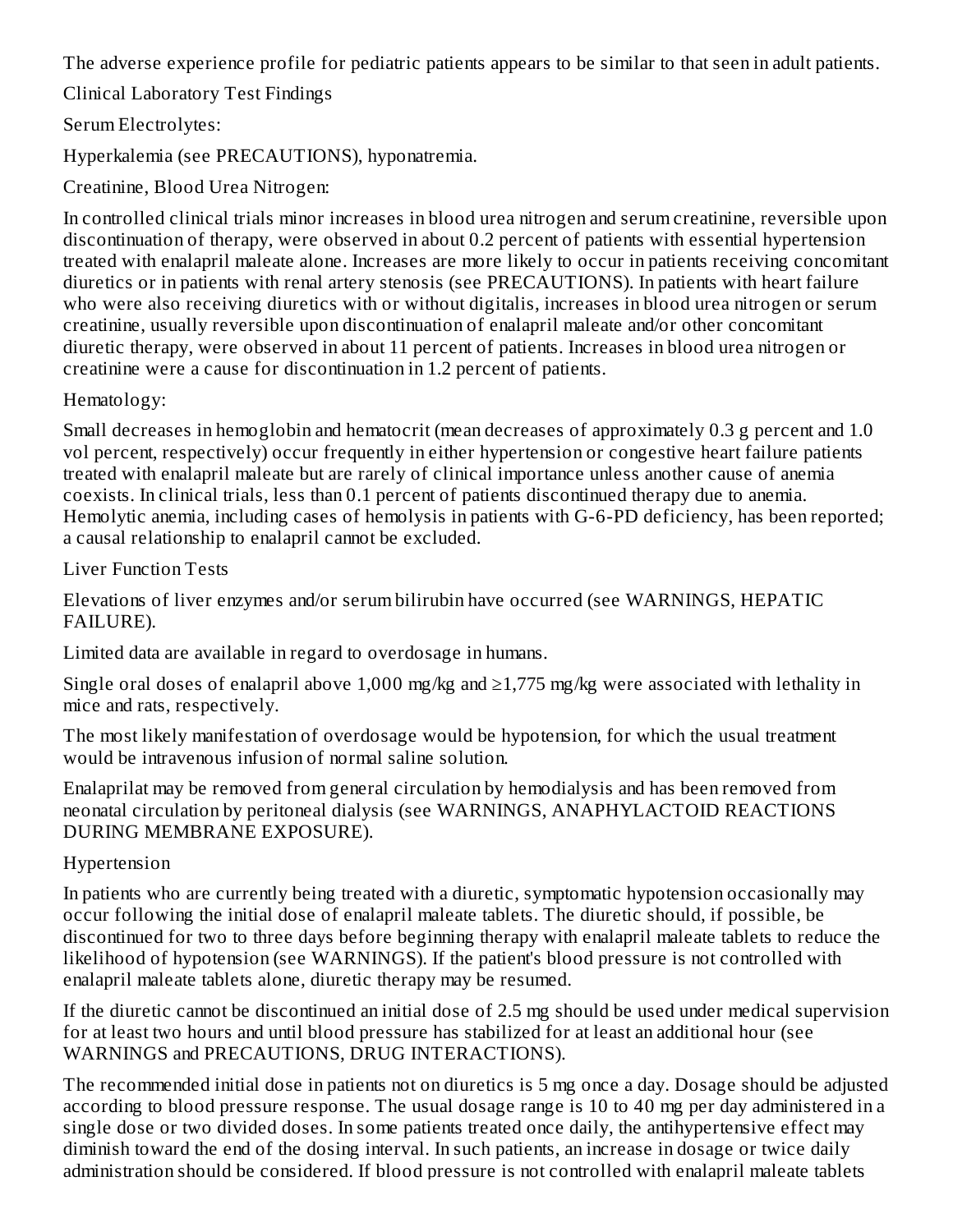The adverse experience profile for pediatric patients appears to be similar to that seen in adult patients.

Clinical Laboratory Test Findings

Serum Electrolytes:

Hyperkalemia (see PRECAUTIONS), hyponatremia.

Creatinine, Blood Urea Nitrogen:

In controlled clinical trials minor increases in blood urea nitrogen and serum creatinine, reversible upon discontinuation of therapy, were observed in about 0.2 percent of patients with essential hypertension treated with enalapril maleate alone. Increases are more likely to occur in patients receiving concomitant diuretics or in patients with renal artery stenosis (see PRECAUTIONS). In patients with heart failure who were also receiving diuretics with or without digitalis, increases in blood urea nitrogen or serum creatinine, usually reversible upon discontinuation of enalapril maleate and/or other concomitant diuretic therapy, were observed in about 11 percent of patients. Increases in blood urea nitrogen or creatinine were a cause for discontinuation in 1.2 percent of patients.

Hematology:

Small decreases in hemoglobin and hematocrit (mean decreases of approximately 0.3 g percent and 1.0 vol percent, respectively) occur frequently in either hypertension or congestive heart failure patients treated with enalapril maleate but are rarely of clinical importance unless another cause of anemia coexists. In clinical trials, less than 0.1 percent of patients discontinued therapy due to anemia. Hemolytic anemia, including cases of hemolysis in patients with G-6-PD deficiency, has been reported; a causal relationship to enalapril cannot be excluded.

Liver Function Tests

Elevations of liver enzymes and/or serum bilirubin have occurred (see WARNINGS, HEPATIC FAILURE).

Limited data are available in regard to overdosage in humans.

Single oral doses of enalapril above 1,000 mg/kg and  $\geq$ 1,775 mg/kg were associated with lethality in mice and rats, respectively.

The most likely manifestation of overdosage would be hypotension, for which the usual treatment would be intravenous infusion of normal saline solution.

Enalaprilat may be removed from general circulation by hemodialysis and has been removed from neonatal circulation by peritoneal dialysis (see WARNINGS, ANAPHYLACTOID REACTIONS DURING MEMBRANE EXPOSURE).

## Hypertension

In patients who are currently being treated with a diuretic, symptomatic hypotension occasionally may occur following the initial dose of enalapril maleate tablets. The diuretic should, if possible, be discontinued for two to three days before beginning therapy with enalapril maleate tablets to reduce the likelihood of hypotension (see WARNINGS). If the patient's blood pressure is not controlled with enalapril maleate tablets alone, diuretic therapy may be resumed.

If the diuretic cannot be discontinued an initial dose of 2.5 mg should be used under medical supervision for at least two hours and until blood pressure has stabilized for at least an additional hour (see WARNINGS and PRECAUTIONS, DRUG INTERACTIONS).

The recommended initial dose in patients not on diuretics is 5 mg once a day. Dosage should be adjusted according to blood pressure response. The usual dosage range is 10 to 40 mg per day administered in a single dose or two divided doses. In some patients treated once daily, the antihypertensive effect may diminish toward the end of the dosing interval. In such patients, an increase in dosage or twice daily administration should be considered. If blood pressure is not controlled with enalapril maleate tablets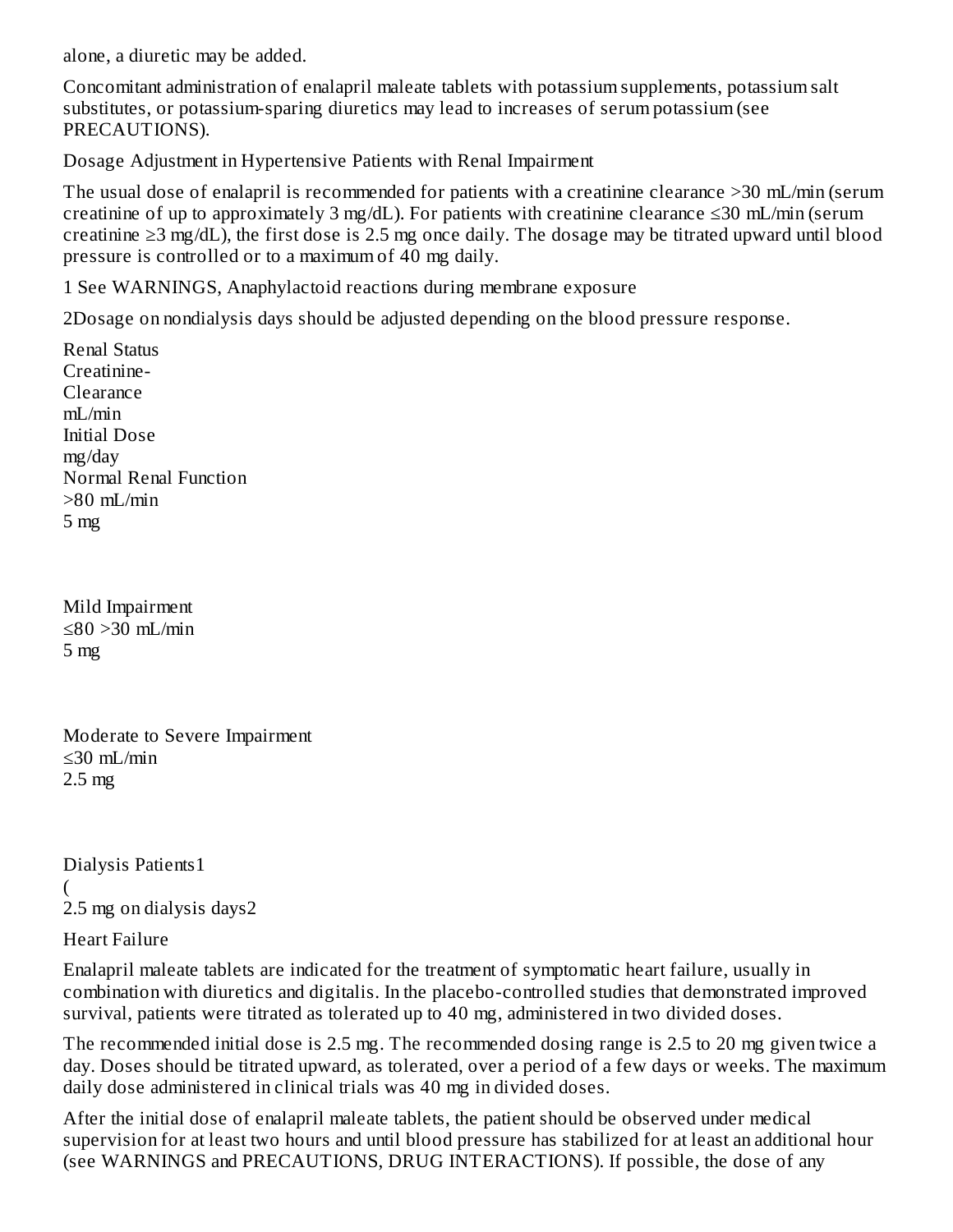alone, a diuretic may be added.

Concomitant administration of enalapril maleate tablets with potassium supplements, potassium salt substitutes, or potassium-sparing diuretics may lead to increases of serum potassium (see PRECAUTIONS).

Dosage Adjustment in Hypertensive Patients with Renal Impairment

The usual dose of enalapril is recommended for patients with a creatinine clearance >30 mL/min (serum creatinine of up to approximately 3 mg/dL). For patients with creatinine clearance ≤30 mL/min (serum creatinine ≥3 mg/dL), the first dose is 2.5 mg once daily. The dosage may be titrated upward until blood pressure is controlled or to a maximum of 40 mg daily.

1 See WARNINGS, Anaphylactoid reactions during membrane exposure

2Dosage on nondialysis days should be adjusted depending on the blood pressure response.

Renal Status Creatinine-Clearance mL/min Initial Dose mg/day Normal Renal Function  $>80$  mL/min 5 mg

Mild Impairment ≤80 >30 mL/min 5 mg

Moderate to Severe Impairment ≤30 mL/min 2.5 mg

Dialysis Patients1 ( 2.5 mg on dialysis days2

#### Heart Failure

Enalapril maleate tablets are indicated for the treatment of symptomatic heart failure, usually in combination with diuretics and digitalis. In the placebo-controlled studies that demonstrated improved survival, patients were titrated as tolerated up to 40 mg, administered in two divided doses.

The recommended initial dose is 2.5 mg. The recommended dosing range is 2.5 to 20 mg given twice a day. Doses should be titrated upward, as tolerated, over a period of a few days or weeks. The maximum daily dose administered in clinical trials was 40 mg in divided doses.

After the initial dose of enalapril maleate tablets, the patient should be observed under medical supervision for at least two hours and until blood pressure has stabilized for at least an additional hour (see WARNINGS and PRECAUTIONS, DRUG INTERACTIONS). If possible, the dose of any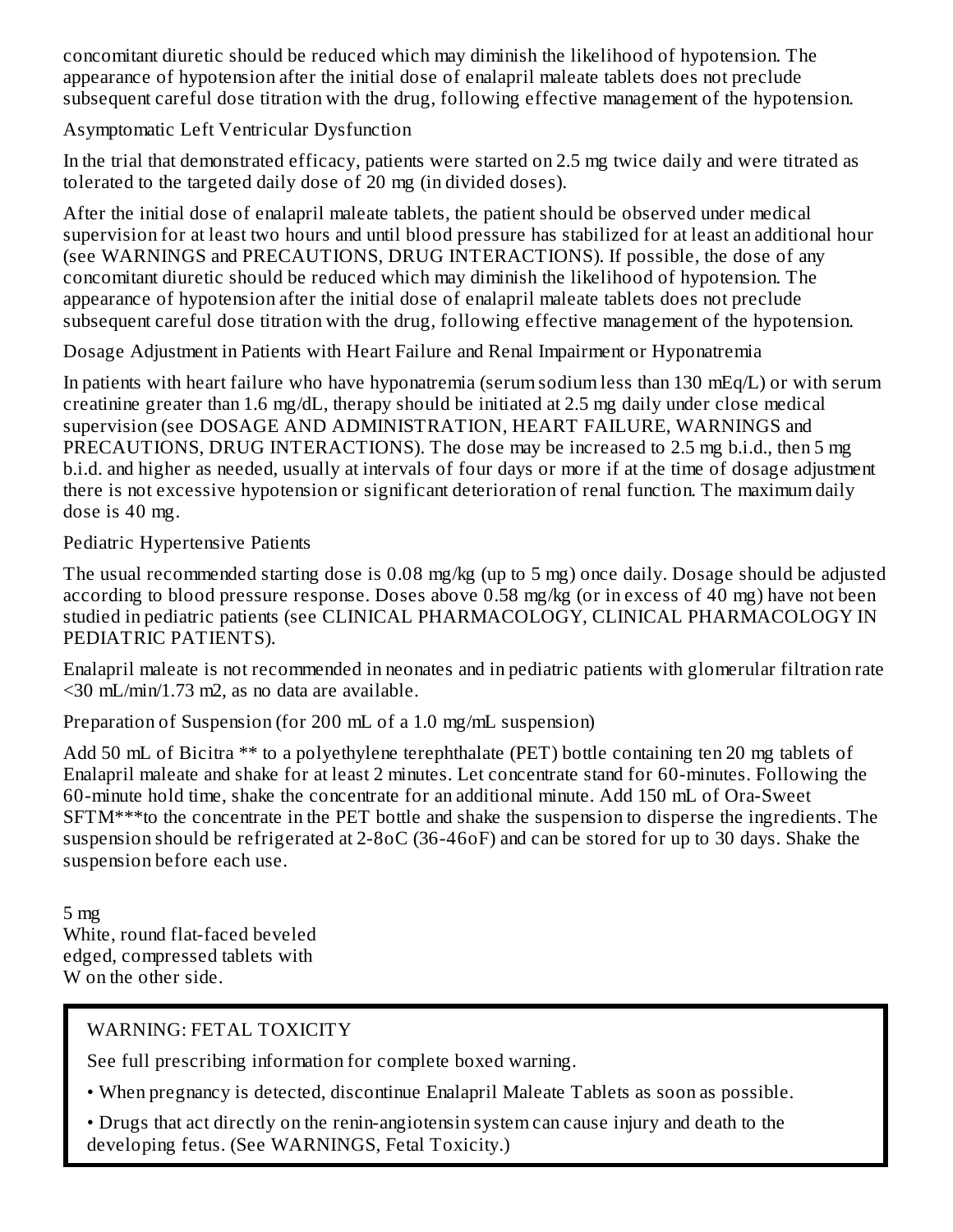concomitant diuretic should be reduced which may diminish the likelihood of hypotension. The appearance of hypotension after the initial dose of enalapril maleate tablets does not preclude subsequent careful dose titration with the drug, following effective management of the hypotension.

Asymptomatic Left Ventricular Dysfunction

In the trial that demonstrated efficacy, patients were started on 2.5 mg twice daily and were titrated as tolerated to the targeted daily dose of 20 mg (in divided doses).

After the initial dose of enalapril maleate tablets, the patient should be observed under medical supervision for at least two hours and until blood pressure has stabilized for at least an additional hour (see WARNINGS and PRECAUTIONS, DRUG INTERACTIONS). If possible, the dose of any concomitant diuretic should be reduced which may diminish the likelihood of hypotension. The appearance of hypotension after the initial dose of enalapril maleate tablets does not preclude subsequent careful dose titration with the drug, following effective management of the hypotension.

Dosage Adjustment in Patients with Heart Failure and Renal Impairment or Hyponatremia

In patients with heart failure who have hyponatremia (serum sodium less than 130 mEq/L) or with serum creatinine greater than 1.6 mg/dL, therapy should be initiated at 2.5 mg daily under close medical supervision (see DOSAGE AND ADMINISTRATION, HEART FAILURE, WARNINGS and PRECAUTIONS, DRUG INTERACTIONS). The dose may be increased to 2.5 mg b.i.d., then 5 mg b.i.d. and higher as needed, usually at intervals of four days or more if at the time of dosage adjustment there is not excessive hypotension or significant deterioration of renal function. The maximum daily dose is 40 mg.

Pediatric Hypertensive Patients

The usual recommended starting dose is 0.08 mg/kg (up to 5 mg) once daily. Dosage should be adjusted according to blood pressure response. Doses above 0.58 mg/kg (or in excess of 40 mg) have not been studied in pediatric patients (see CLINICAL PHARMACOLOGY, CLINICAL PHARMACOLOGY IN PEDIATRIC PATIENTS).

Enalapril maleate is not recommended in neonates and in pediatric patients with glomerular filtration rate <30 mL/min/1.73 m2, as no data are available.

Preparation of Suspension (for 200 mL of a 1.0 mg/mL suspension)

Add 50 mL of Bicitra \*\* to a polyethylene terephthalate (PET) bottle containing ten 20 mg tablets of Enalapril maleate and shake for at least 2 minutes. Let concentrate stand for 60-minutes. Following the 60-minute hold time, shake the concentrate for an additional minute. Add 150 mL of Ora-Sweet SFTM\*\*\*to the concentrate in the PET bottle and shake the suspension to disperse the ingredients. The suspension should be refrigerated at 2-8oC (36-46oF) and can be stored for up to 30 days. Shake the suspension before each use.

5 mg White, round flat-faced beveled edged, compressed tablets with W on the other side.

## WARNING: FETAL TOXICITY

See full prescribing information for complete boxed warning.

- When pregnancy is detected, discontinue Enalapril Maleate Tablets as soon as possible.
- Drugs that act directly on the renin-angiotensin system can cause injury and death to the developing fetus. (See WARNINGS, Fetal Toxicity.)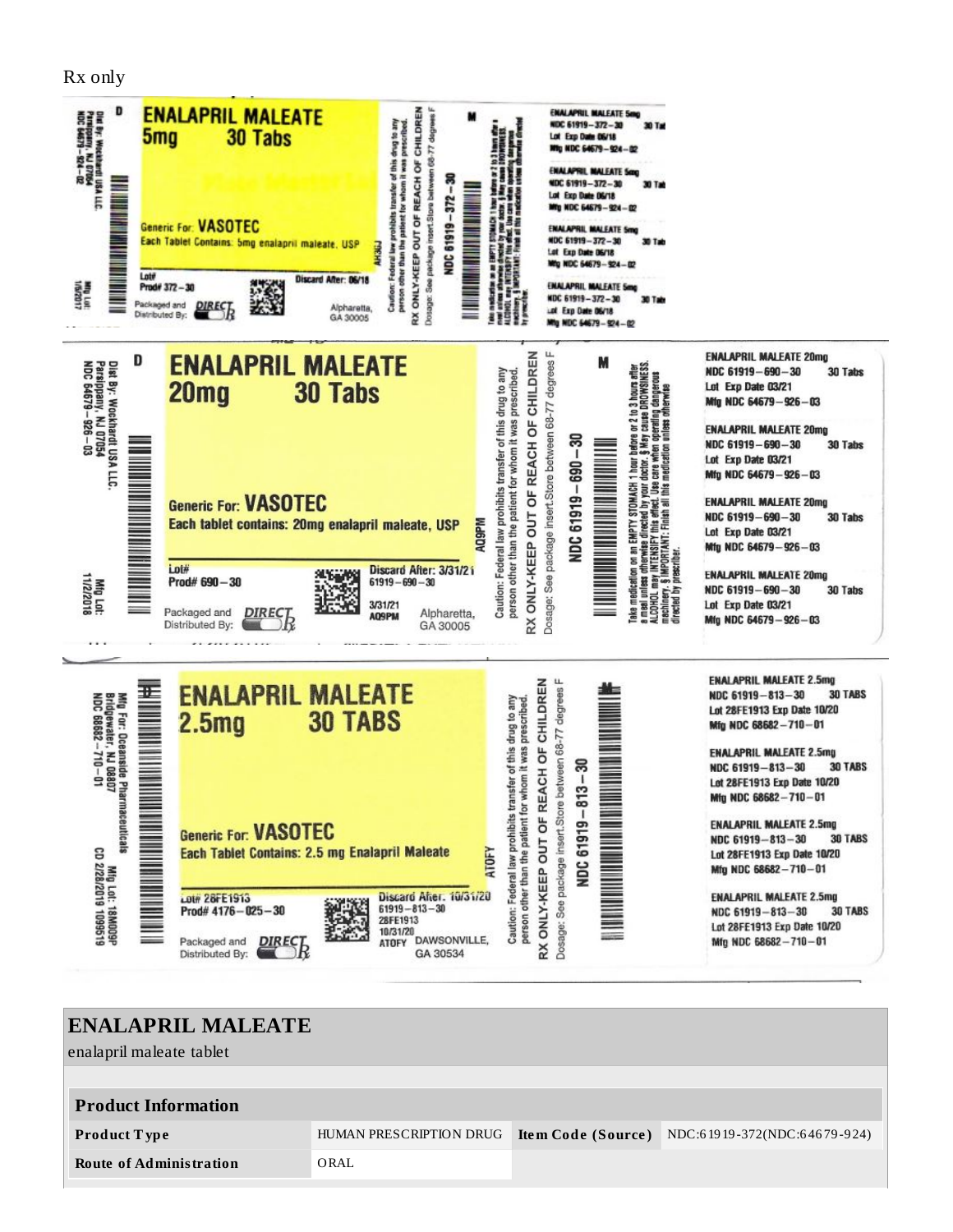Rx only



## **ENALAPRIL MALEATE**

enalapril maleate tablet

| <b>Product Information</b>     |                         |                    |                                                  |
|--------------------------------|-------------------------|--------------------|--------------------------------------------------|
| <b>Product Type</b>            | HUMAN PRESCRIPTION DRUG | Item Code (Source) | $\text{NDC:}61919 - 372(\text{NDC:}64679 - 924)$ |
| <b>Route of Administration</b> | ORAL                    |                    |                                                  |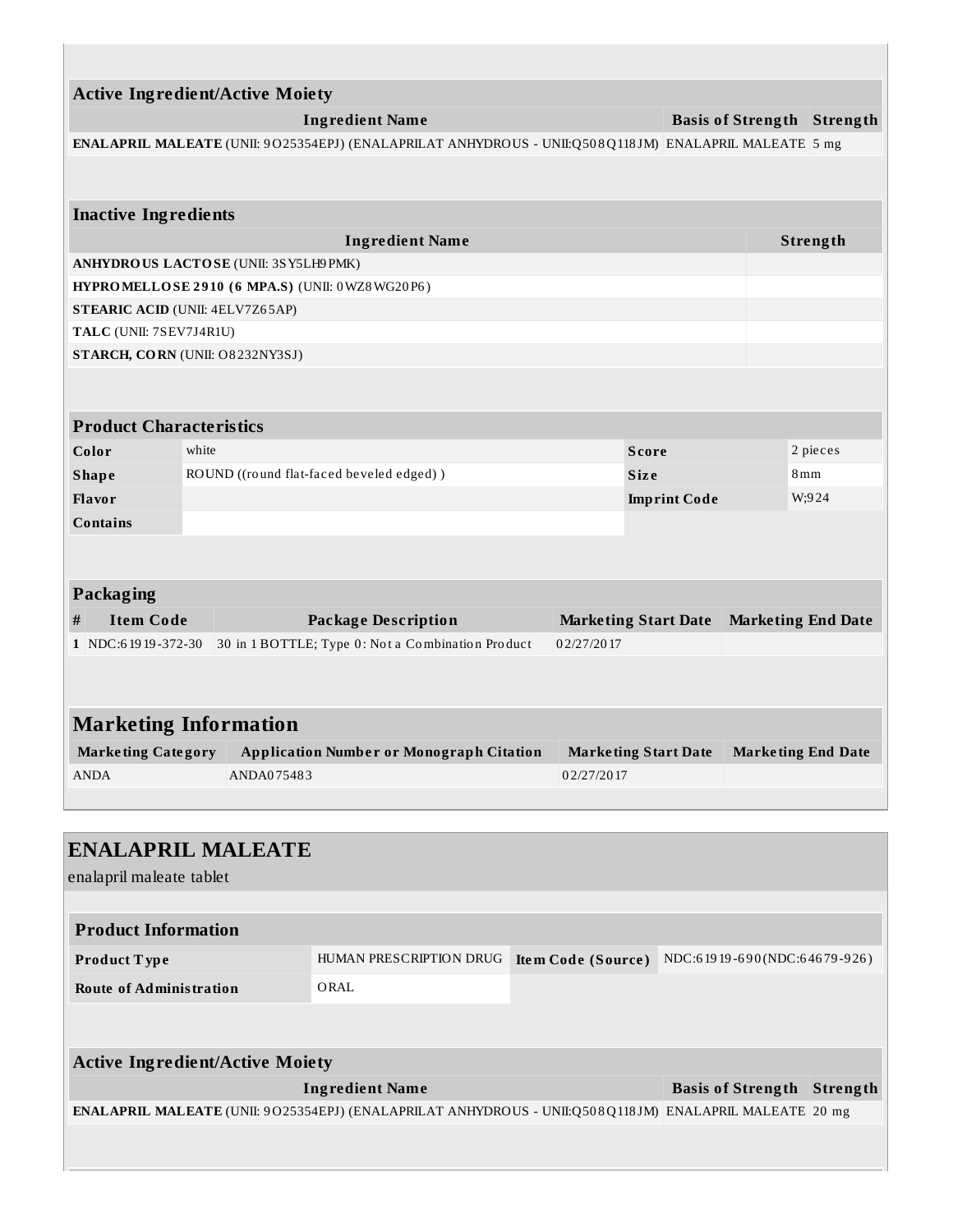|                                                                              |                                                         | <b>Active Ingredient/Active Moiety</b>                                                                |                             |  |                           |                                   |          |
|------------------------------------------------------------------------------|---------------------------------------------------------|-------------------------------------------------------------------------------------------------------|-----------------------------|--|---------------------------|-----------------------------------|----------|
| <b>Ingredient Name</b>                                                       |                                                         |                                                                                                       |                             |  |                           | <b>Basis of Strength Strength</b> |          |
|                                                                              |                                                         | ENALAPRIL MALEATE (UNII: 9025354EPJ) (ENALAPRILAT ANHYDROUS - UNII:Q508Q118JM) ENALAPRIL MALEATE 5 mg |                             |  |                           |                                   |          |
|                                                                              |                                                         |                                                                                                       |                             |  |                           |                                   |          |
|                                                                              |                                                         |                                                                                                       |                             |  |                           |                                   |          |
| <b>Inactive Ingredients</b>                                                  |                                                         |                                                                                                       |                             |  |                           |                                   |          |
|                                                                              |                                                         | <b>Ingredient Name</b>                                                                                |                             |  |                           |                                   | Strength |
|                                                                              |                                                         | ANHYDROUS LACTOSE (UNII: 3SY5LH9 PMK)                                                                 |                             |  |                           |                                   |          |
|                                                                              |                                                         | HYPROMELLOSE 2910 (6 MPA.S) (UNII: 0WZ8WG20P6)                                                        |                             |  |                           |                                   |          |
| <b>STEARIC ACID (UNII: 4ELV7Z65AP)</b>                                       |                                                         |                                                                                                       |                             |  |                           |                                   |          |
| TALC (UNII: 7SEV7J4R1U)                                                      |                                                         |                                                                                                       |                             |  |                           |                                   |          |
| STARCH, CORN (UNII: O8232NY3SJ)                                              |                                                         |                                                                                                       |                             |  |                           |                                   |          |
|                                                                              |                                                         |                                                                                                       |                             |  |                           |                                   |          |
| <b>Product Characteristics</b>                                               |                                                         |                                                                                                       |                             |  |                           |                                   |          |
| Color                                                                        | white<br>Score                                          |                                                                                                       |                             |  |                           |                                   | 2 pieces |
| <b>Shape</b>                                                                 | ROUND ((round flat-faced beveled edged))<br><b>Size</b> |                                                                                                       |                             |  |                           | 8 <sub>mm</sub>                   |          |
| Flavor<br><b>Imprint Code</b>                                                |                                                         |                                                                                                       |                             |  |                           | W:924                             |          |
| Contains                                                                     |                                                         |                                                                                                       |                             |  |                           |                                   |          |
|                                                                              |                                                         |                                                                                                       |                             |  |                           |                                   |          |
|                                                                              |                                                         |                                                                                                       |                             |  |                           |                                   |          |
| Packaging                                                                    |                                                         |                                                                                                       |                             |  |                           |                                   |          |
| <b>Item Code</b><br>#                                                        |                                                         | <b>Package Description</b>                                                                            | <b>Marketing Start Date</b> |  |                           | <b>Marketing End Date</b>         |          |
| 30 in 1 BOTTLE; Type 0: Not a Combination Product<br>1 NDC:61919-372-30      |                                                         | 02/27/2017                                                                                            |                             |  |                           |                                   |          |
|                                                                              |                                                         |                                                                                                       |                             |  |                           |                                   |          |
|                                                                              |                                                         |                                                                                                       |                             |  |                           |                                   |          |
| <b>Marketing Information</b>                                                 |                                                         |                                                                                                       |                             |  |                           |                                   |          |
| <b>Marketing Category</b><br><b>Application Number or Monograph Citation</b> |                                                         | <b>Marketing Start Date</b>                                                                           |                             |  | <b>Marketing End Date</b> |                                   |          |
| ANDA075483<br><b>ANDA</b>                                                    |                                                         |                                                                                                       | 02/27/2017                  |  |                           |                                   |          |
|                                                                              |                                                         |                                                                                                       |                             |  |                           |                                   |          |
|                                                                              |                                                         |                                                                                                       |                             |  |                           |                                   |          |

# **ENALAPRIL MALEATE**

enalapril maleate tablet

Г

| <b>Product Information</b> |       |                                                                         |
|----------------------------|-------|-------------------------------------------------------------------------|
| <b>Product Type</b>        |       | HUMAN PRESCRIPTION DRUG Item Code (Source) NDC:61919-690(NDC:64679-926) |
| Route of Administration    | ORAL. |                                                                         |

| <b>Active Ingredient/Active Moiety</b>                                                                 |                                   |  |  |  |  |  |
|--------------------------------------------------------------------------------------------------------|-----------------------------------|--|--|--|--|--|
| <b>Ingredient Name</b>                                                                                 | <b>Basis of Strength Strength</b> |  |  |  |  |  |
| ENALAPRIL MALEATE (UNII: 9O25354EPJ) (ENALAPRILAT ANHYDROUS - UNII:Q508Q118JM) ENALAPRIL MALEATE 20 mg |                                   |  |  |  |  |  |
|                                                                                                        |                                   |  |  |  |  |  |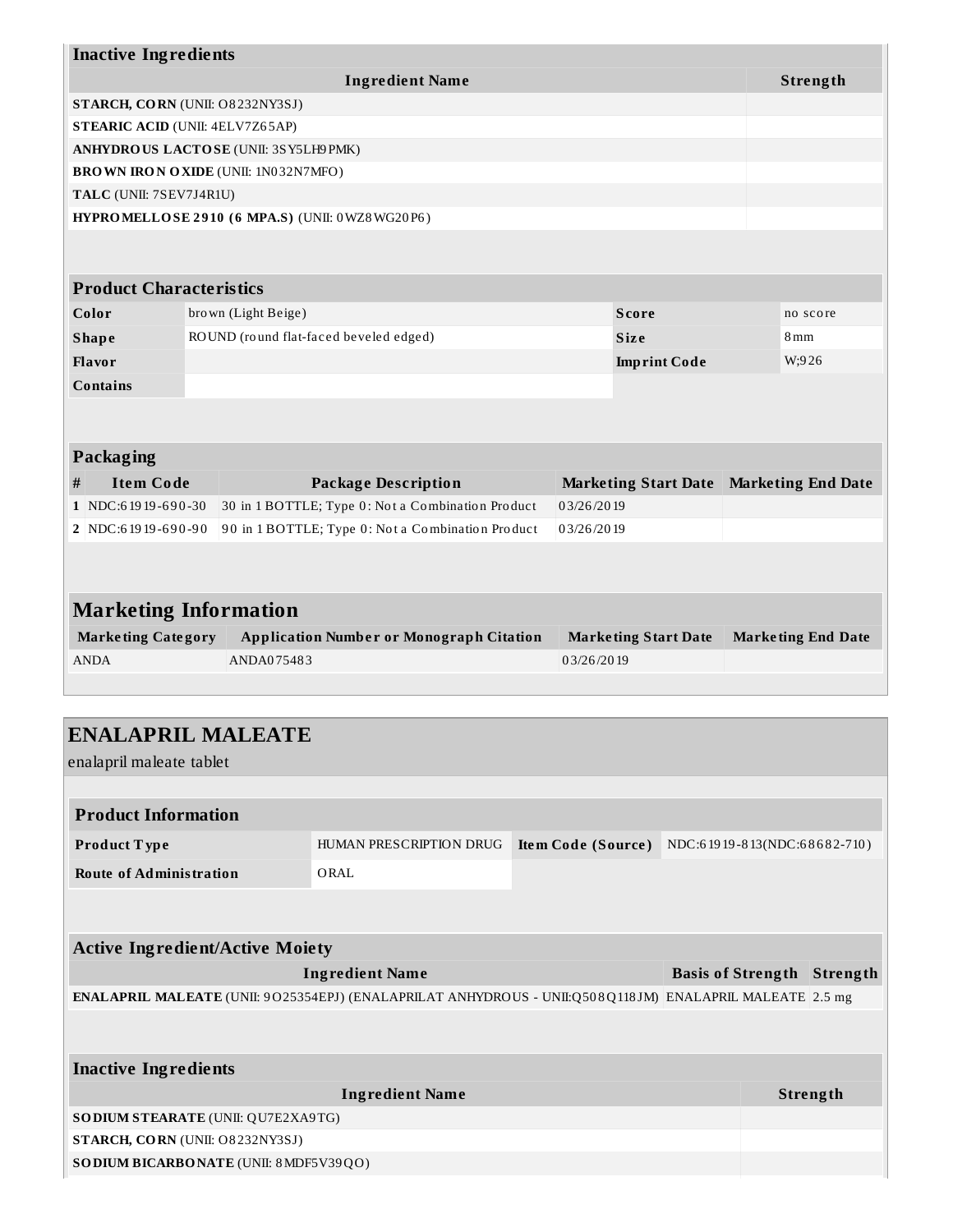| <b>Inactive Ingredients</b>                                                                             |                                        |                     |                                                   |  |                                   |                             |  |                              |                                         |  |
|---------------------------------------------------------------------------------------------------------|----------------------------------------|---------------------|---------------------------------------------------|--|-----------------------------------|-----------------------------|--|------------------------------|-----------------------------------------|--|
|                                                                                                         |                                        |                     | <b>Ingredient Name</b>                            |  |                                   |                             |  |                              | Strength                                |  |
| STARCH, CORN (UNII: O8232NY3SJ)                                                                         |                                        |                     |                                                   |  |                                   |                             |  |                              |                                         |  |
|                                                                                                         | <b>STEARIC ACID (UNII: 4ELV7Z65AP)</b> |                     |                                                   |  |                                   |                             |  |                              |                                         |  |
| ANHYDROUS LACTOSE (UNII: 3SY5LH9 PMK)                                                                   |                                        |                     |                                                   |  |                                   |                             |  |                              |                                         |  |
| <b>BROWN IRON OXIDE (UNII: 1N032N7MFO)</b>                                                              |                                        |                     |                                                   |  |                                   |                             |  |                              |                                         |  |
| TALC (UNII: 7SEV7J4R1U)                                                                                 |                                        |                     |                                                   |  |                                   |                             |  |                              |                                         |  |
|                                                                                                         |                                        |                     | HYPROMELLOSE 2910 (6 MPA.S) (UNII: 0WZ8WG20P6)    |  |                                   |                             |  |                              |                                         |  |
|                                                                                                         |                                        |                     |                                                   |  |                                   |                             |  |                              |                                         |  |
|                                                                                                         |                                        |                     |                                                   |  |                                   |                             |  |                              |                                         |  |
| <b>Product Characteristics</b>                                                                          |                                        |                     |                                                   |  |                                   |                             |  |                              |                                         |  |
| Color                                                                                                   |                                        | brown (Light Beige) |                                                   |  |                                   | <b>Score</b>                |  |                              | no score                                |  |
| <b>Shape</b>                                                                                            |                                        |                     | ROUND (round flat-faced beveled edged)            |  |                                   | Size                        |  | 8 <sub>mm</sub>              |                                         |  |
| Flavor                                                                                                  |                                        |                     |                                                   |  | <b>Imprint Code</b>               |                             |  | W;926                        |                                         |  |
| <b>Contains</b>                                                                                         |                                        |                     |                                                   |  |                                   |                             |  |                              |                                         |  |
|                                                                                                         |                                        |                     |                                                   |  |                                   |                             |  |                              |                                         |  |
|                                                                                                         |                                        |                     |                                                   |  |                                   |                             |  |                              |                                         |  |
|                                                                                                         |                                        |                     |                                                   |  |                                   |                             |  |                              |                                         |  |
| Packaging                                                                                               |                                        |                     |                                                   |  |                                   |                             |  |                              |                                         |  |
| <b>Item Code</b><br>#                                                                                   |                                        |                     | <b>Package Description</b>                        |  |                                   |                             |  |                              | Marketing Start Date Marketing End Date |  |
| 1 NDC:61919-690-30                                                                                      |                                        |                     | 30 in 1 BOTTLE; Type 0: Not a Combination Product |  | 03/26/2019                        |                             |  |                              |                                         |  |
| 2 NDC:61919-690-90                                                                                      |                                        |                     | 90 in 1 BOTTLE; Type 0: Not a Combination Product |  | 03/26/2019                        |                             |  |                              |                                         |  |
|                                                                                                         |                                        |                     |                                                   |  |                                   |                             |  |                              |                                         |  |
|                                                                                                         |                                        |                     |                                                   |  |                                   |                             |  |                              |                                         |  |
| <b>Marketing Information</b>                                                                            |                                        |                     |                                                   |  |                                   |                             |  |                              |                                         |  |
| <b>Marketing Category</b>                                                                               |                                        |                     | <b>Application Number or Monograph Citation</b>   |  |                                   | <b>Marketing Start Date</b> |  | <b>Marketing End Date</b>    |                                         |  |
| <b>ANDA</b>                                                                                             |                                        | ANDA075483          |                                                   |  | 03/26/2019                        |                             |  |                              |                                         |  |
|                                                                                                         |                                        |                     |                                                   |  |                                   |                             |  |                              |                                         |  |
|                                                                                                         |                                        |                     |                                                   |  |                                   |                             |  |                              |                                         |  |
|                                                                                                         |                                        |                     |                                                   |  |                                   |                             |  |                              |                                         |  |
| <b>ENALAPRIL MALEATE</b>                                                                                |                                        |                     |                                                   |  |                                   |                             |  |                              |                                         |  |
| enalapril maleate tablet                                                                                |                                        |                     |                                                   |  |                                   |                             |  |                              |                                         |  |
|                                                                                                         |                                        |                     |                                                   |  |                                   |                             |  |                              |                                         |  |
| <b>Product Information</b>                                                                              |                                        |                     |                                                   |  |                                   |                             |  |                              |                                         |  |
| Product Type                                                                                            |                                        |                     | HUMAN PRESCRIPTION DRUG                           |  | Item Code (Source)                |                             |  | NDC:61919-813(NDC:68682-710) |                                         |  |
| <b>Route of Administration</b>                                                                          |                                        |                     | ORAL                                              |  |                                   |                             |  |                              |                                         |  |
|                                                                                                         |                                        |                     |                                                   |  |                                   |                             |  |                              |                                         |  |
|                                                                                                         |                                        |                     |                                                   |  |                                   |                             |  |                              |                                         |  |
|                                                                                                         |                                        |                     |                                                   |  |                                   |                             |  |                              |                                         |  |
| <b>Active Ingredient/Active Moiety</b>                                                                  |                                        |                     |                                                   |  |                                   |                             |  |                              |                                         |  |
| <b>Ingredient Name</b>                                                                                  |                                        |                     |                                                   |  | <b>Basis of Strength Strength</b> |                             |  |                              |                                         |  |
| ENALAPRIL MALEATE (UNII: 9025354EPJ) (ENALAPRILAT ANHYDROUS - UNII:Q508Q118JM) ENALAPRIL MALEATE 2.5 mg |                                        |                     |                                                   |  |                                   |                             |  |                              |                                         |  |
|                                                                                                         |                                        |                     |                                                   |  |                                   |                             |  |                              |                                         |  |
|                                                                                                         |                                        |                     |                                                   |  |                                   |                             |  |                              |                                         |  |
| <b>Inactive Ingredients</b>                                                                             |                                        |                     |                                                   |  |                                   |                             |  |                              |                                         |  |
|                                                                                                         |                                        |                     | <b>Ingredient Name</b>                            |  |                                   |                             |  |                              | Strength                                |  |
| SODIUM STEARATE (UNII: QU7E2XA9TG)                                                                      |                                        |                     |                                                   |  |                                   |                             |  |                              |                                         |  |
|                                                                                                         | STARCH, CORN (UNII: O8232NY3SJ)        |                     |                                                   |  |                                   |                             |  |                              |                                         |  |

**SODIUM BICARBONATE** (UNII: 8MDF5V39QO)